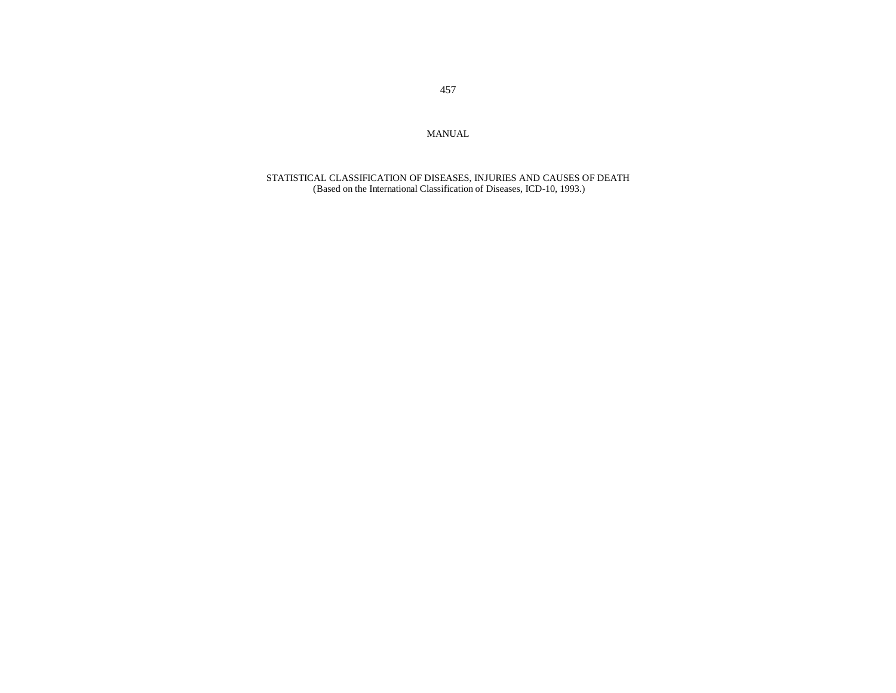MANUAL

STATISTICAL CLASSIFICATION OF DISEASES, INJURIES AND CAUSES OF DEATH (Based on the International Classification of Diseases, ICD-10, 1993.)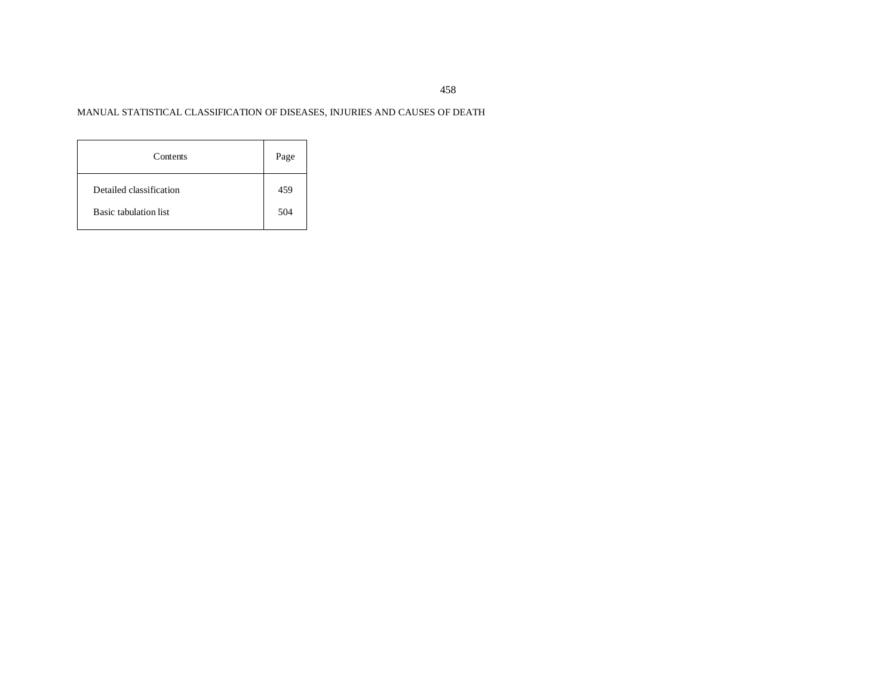# MANUAL STATISTICAL CLASSIFICATION OF DISEASES, INJURIES AND CAUSES OF DEATH

| Contents                     | Page |
|------------------------------|------|
| Detailed classification      | 459  |
| <b>Basic tabulation list</b> | 504  |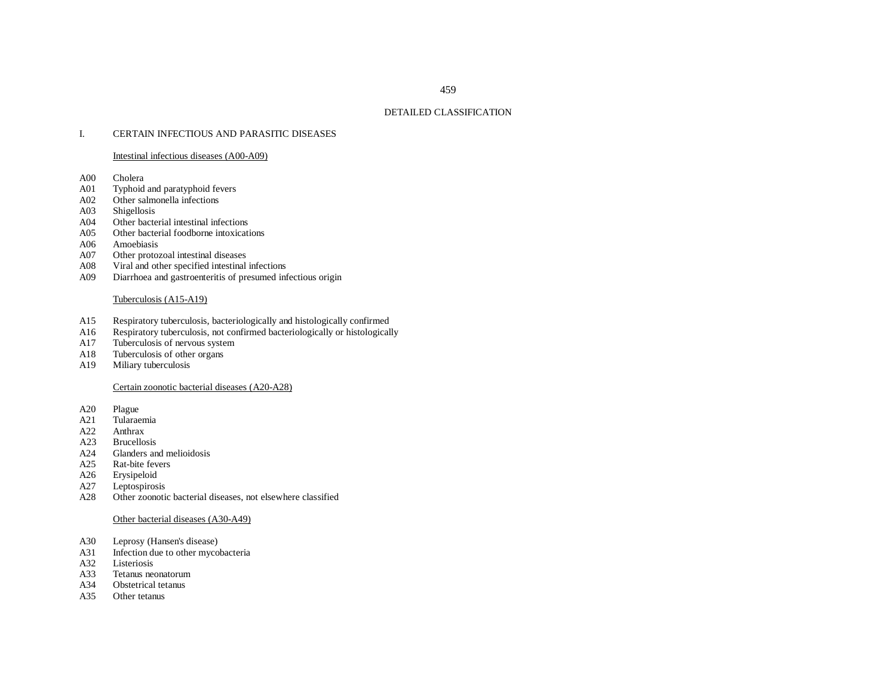# 459

## DETAILED CLASSIFICATION

#### I.CERTAIN INFECTIOUS AND PARASITIC DISEASES

#### Intestinal infectious diseases (A00-A09)

- A00Cholera
- A01Typhoid and paratyphoid fevers
- A02Other salmonella infections
- A03Shigellosis
- A04Other bacterial intestinal infections
- A05Other bacterial foodborne intoxications
- A06Amoebiasis
- A07Other protozoal intestinal diseases
- A08Viral and other specified intestinal infections
- A09Diarrhoea and gastroenteritis of presumed infectious origin

## Tuberculosis (A15-A19)

- A15Respiratory tuberculosis, bacteriologically and histologically confirmed
- A16Respiratory tuberculosis, not confirmed bacteriologically or histologically
- A17Tuberculosis of nervous system
- A18Tuberculosis of other organs
- A19Miliary tuberculosis

## Certain zoonotic bacterial diseases (A20-A28)

- A20Plague
- A21Tularaemia
- A22Anthrax
- A23Brucellosis
- A24Glanders and melioidosis
- A25Rat-bite fevers
- A26Erysipeloid
- A27Leptospirosis
- A28Other zoonotic bacterial diseases, not elsewhere classified

## Other bacterial diseases (A30-A49)

- A30Leprosy (Hansen's disease)
- A31Infection due to other mycobacteria
- A32Listeriosis
- A33Tetanus neonatorum
- A34Obstetrical tetanus
- A35Other tetanus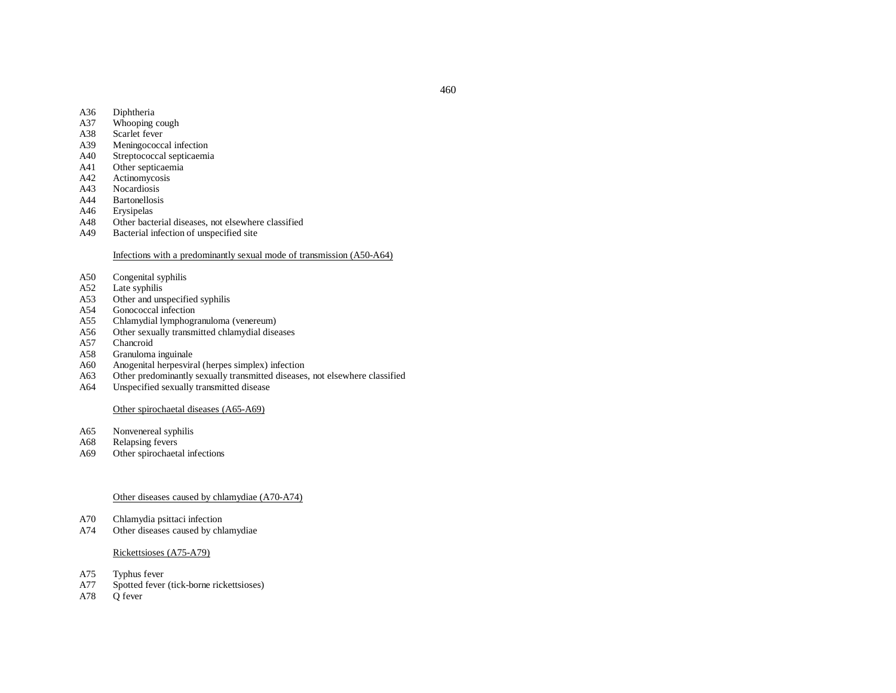- A36Diphtheria
- A37Whooping cough
- A38Scarlet fever
- A39Meningococcal infection
- A40Streptococcal septicaemia
- A41Other septicaemia
- A42Actinomycosis
- A43Nocardiosis
- A44Bartonellosis
- A46Erysipelas
- A48Other bacterial diseases, not elsewhere classified
- A49Bacterial infection of unspecified site

## Infections with <sup>a</sup> predominantly sexual mode of transmission (A50-A64)

- A50Congenital syphilis
- A52Late syphilis
- A53Other and unspecified syphilis
- A54Gonococcal infection
- A55Chlamydial lymphogranuloma (venereum)
- A56Other sexually transmitted chlamydial diseases
- A57Chancroid
- A58Granuloma inguinale
- A60Anogenital herpesviral (herpes simplex) infection
- A63Other predominantly sexually transmitted diseases, not elsewhere classified
- A64Unspecified sexually transmitted disease

## Other spirochaetal diseases (A65-A69)

- A65Nonvenereal syphilis
- A68Relapsing fevers
- A69Other spirochaetal infections

# Other diseases caused by chlamydiae (A70-A74)

- A70Chlamydia psittaci infection
- A74Other diseases caused by chlamydiae

## Rickettsioses (A75-A79)

- A75Typhus fever
- A77Spotted fever (tick-borne rickettsioses)
- A78Q fever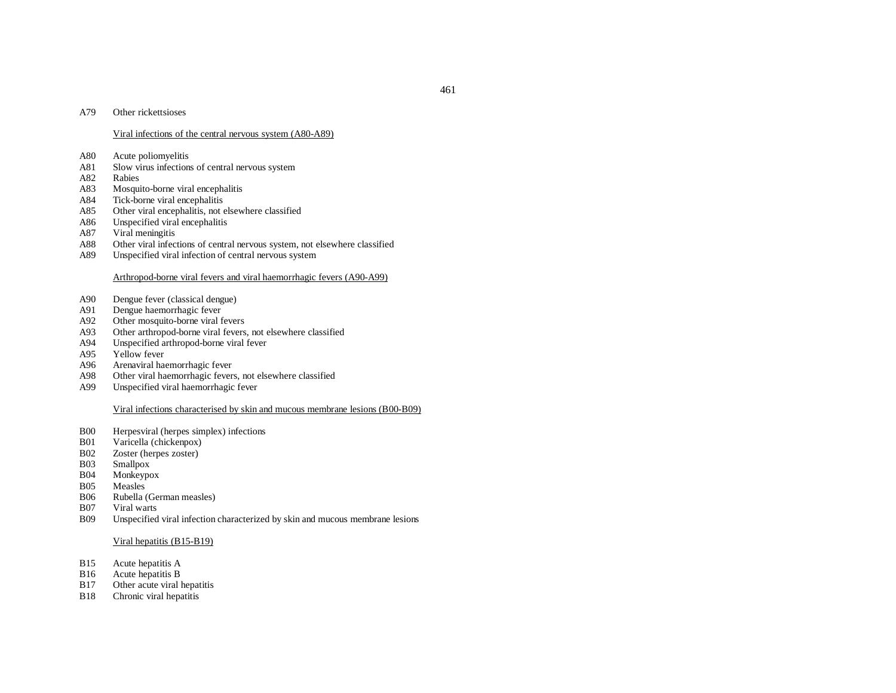#### A79Other rickettsioses

#### Viral infections of the central nervous system (A80-A89)

- A80Acute poliomyelitis
- A81Slow virus infections of central nervous system
- A82Rabies
- A83Mosquito-borne viral encephalitis
- A84Tick-borne viral encephalitis
- A85Other viral encephalitis, not elsewhere classified
- A86Unspecified viral encephalitis
- A87Viral meningitis
- A88Other viral infections of central nervous system, not elsewhere classified
- A89Unspecified viral infection of central nervous system

## Arthropod-borne viral fevers and viral haemorrhagic fevers (A90-A99)

- A90Dengue fever (classical dengue)
- A91Dengue haemorrhagic fever
- A92Other mosquito-borne viral fevers
- A93Other arthropod-borne viral fevers, not elsewhere classified
- A94Unspecified arthropod-borne viral fever
- A95Yellow fever
- A96Arenaviral haemorrhagic fever
- A98Other viral haemorrhagic fevers, not elsewhere classified
- A99Unspecified viral haemorrhagic fever

#### Viral infections characterised by skin and mucous membrane lesions (B00-B09)

- B00Herpesviral (herpes simplex) infections
- B01Varicella (chickenpox)
- B02Zoster (herpes zoster)
- B03Smallpox
- B04Monkeypox
- B05Measles
- B06Rubella (German measles)
- B07Viral warts
- B09Unspecified viral infection characterized by skin and mucous membrane lesions

#### Viral hepatitis (B15-B19)

- B15Acute hepatitis A
- B16Acute hepatitis B
- B17Other acute viral hepatitis
- B18Chronic viral hepatitis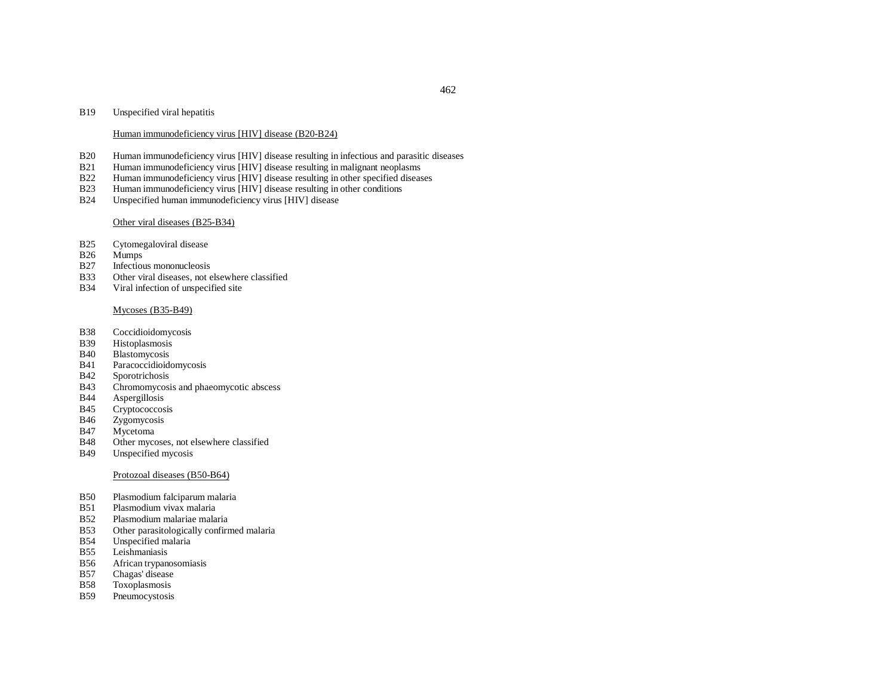#### B19Unspecified viral hepatitis

#### Human immunodeficiency virus [HIV] disease (B20-B24)

- B20Human immunodeficiency virus [HIV] disease resulting in infectious and parasitic diseases
- B21Human immunodeficiency virus [HIV] disease resulting in malignant neoplasms
- B22Human immunodeficiency virus [HIV] disease resulting in other specified diseases
- B23Human immunodeficiency virus [HIV] disease resulting in other conditions
- B24Unspecified human immunodeficiency virus [HIV] disease

#### Other viral diseases (B25-B34)

- B25Cytomegaloviral disease
- B26Mumps
- B27Infectious mononucleosis
- B33Other viral diseases, not elsewhere classified
- B34Viral infection of unspecified site

## Mycoses (B35-B49)

- B38Coccidioidomycosis
- B39Histoplasmosis
- B40Blastomycosis
- B41Paracoccidioidomycosis
- B42Sporotrichosis
- B43Chromomycosis and phaeomycotic abscess
- B44Aspergillosis
- B45Cryptococcosis
- B46Zygomycosis
- B47Mycetoma
- B48Other mycoses, not elsewhere classified
- B49Unspecified mycosis

#### Protozoal diseases (B50-B64)

- B50Plasmodium falciparum malaria
- B51Plasmodium vivax malaria
- B52Plasmodium malariae malaria
- B53Other parasitologically confirmed malaria
- B54Unspecified malaria
- B55Leishmaniasis
- B56African trypanosomiasis
- B57Chagas' disease
- B58Toxoplasmosis
- B59Pneumocystosis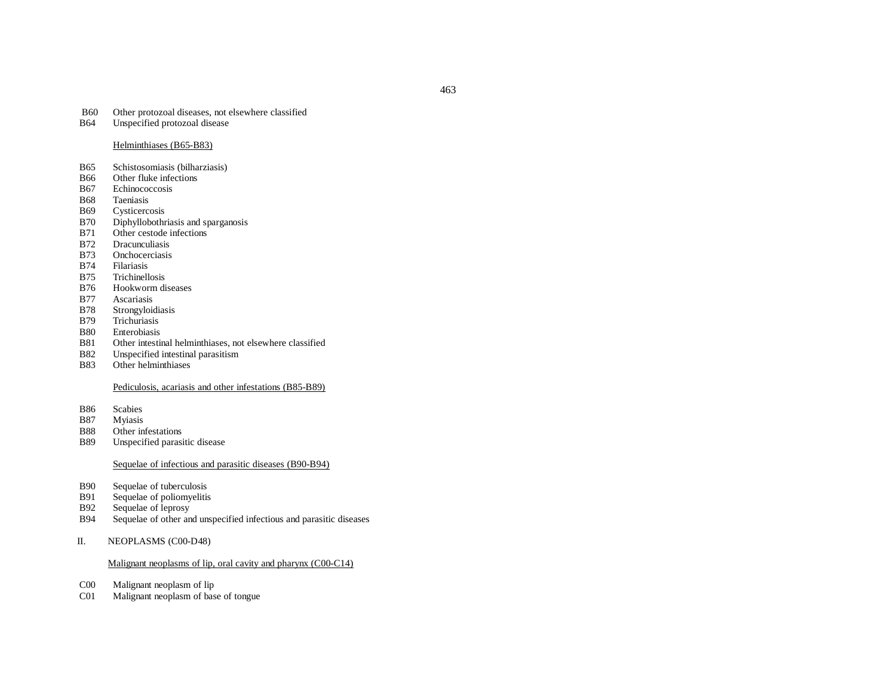#### B60Other protozoal diseases, not elsewhere classified

B64Unspecified protozoal disease

#### Helminthiases (B65-B83)

- B65Schistosomiasis (bilharziasis)
- B66Other fluke infections
- B67Echinococcosis
- B68Taeniasis
- B69Cysticercosis
- B70Diphyllobothriasis and sparganosis
- B71Other cestode infections
- B72Dracunculiasis
- B73Onchocerciasis
- B74Filariasis
- B75Trichinellosis
- B76Hookworm diseases
- B77Ascariasis
- B78Strongyloidiasis
- B79Trichuriasis
- B80Enterobiasis
- B81Other intestinal helminthiases, not elsewhere classified
- B82Unspecified intestinal parasitism
- B83Other helminthiases

# Pediculosis, acariasis and other infestations (B85-B89)

- B86Scabies
- B87Myiasis
- B88Other infestations
- B89Unspecified parasitic disease

# Sequelae of infectious and parasitic diseases (B90-B94)

- B90Sequelae of tuberculosis
- B91Sequelae of poliomyelitis
- B92Sequelae of leprosy
- B94Sequelae of other and unspecified infectious and parasitic diseases
- II.NEOPLASMS (C00-D48)

# Malignant neoplasms of lip, oral cavity and pharynx (C00-C14)

- C00Malignant neoplasm of lip
- C01Malignant neoplasm of base of tongue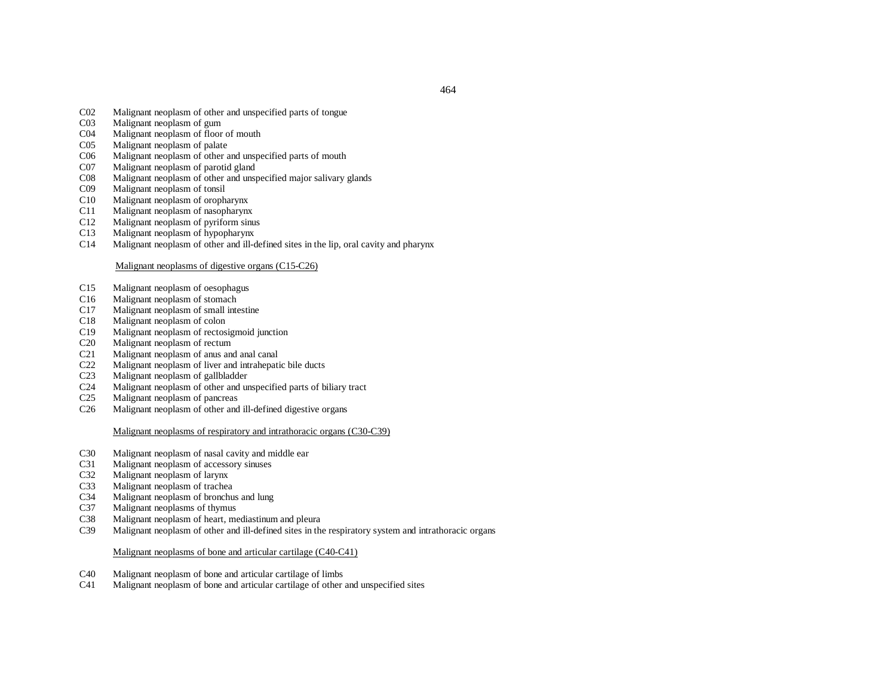464

- C02Malignant neoplasm of other and unspecified parts of tongue
- $CO<sub>3</sub>$ Malignant neoplasm of gum
- C04Malignant neoplasm of floor of mouth
- $C<sub>05</sub>$ Malignant neoplasm of palate
- C06Malignant neoplasm of other and unspecified parts of mouth
- C07Malignant neoplasm of parotid gland
- C08Malignant neoplasm of other and unspecified major salivary glands
- C09Malignant neoplasm of tonsil
- C10Malignant neoplasm of oropharynx
- C11Malignant neoplasm of nasopharynx
- C12Malignant neoplasm of pyriform sinus
- C13Malignant neoplasm of hypopharynx
- C14Malignant neoplasm of other and ill-defined sites in the lip, oral cavity and pharynx

## Malignant neoplasms of digestive organs (C15-C26)

- C15Malignant neoplasm of oesophagus
- C16Malignant neoplasm of stomach
- C17Malignant neoplasm of small intestine
- C18Malignant neoplasm of colon
- C19Malignant neoplasm of rectosigmoid junction
- C20Malignant neoplasm of rectum
- C21Malignant neoplasm of anus and anal canal
- C22Malignant neoplasm of liver and intrahepatic bile ducts
- C23Malignant neoplasm of gallbladder
- C24Malignant neoplasm of other and unspecified parts of biliary tract
- C25Malignant neoplasm of pancreas
- C26Malignant neoplasm of other and ill-defined digestive organs

## Malignant neoplasms of respiratory and intrathoracic organs (C30-C39)

- C30Malignant neoplasm of nasal cavity and middle ear
- C31Malignant neoplasm of accessory sinuses
- C32Malignant neoplasm of larynx
- C33Malignant neoplasm of trachea
- C34Malignant neoplasm of bronchus and lung
- C37Malignant neoplasms of thymus
- C38Malignant neoplasm of heart, mediastinum and pleura
- C39Malignant neoplasm of other and ill-defined sites in the respiratory system and intrathoracic organs

## Malignant neoplasms of bone and articular cartilage (C40-C41)

- C40Malignant neoplasm of bone and articular cartilage of limbs
- C41Malignant neoplasm of bone and articular cartilage of other and unspecified sites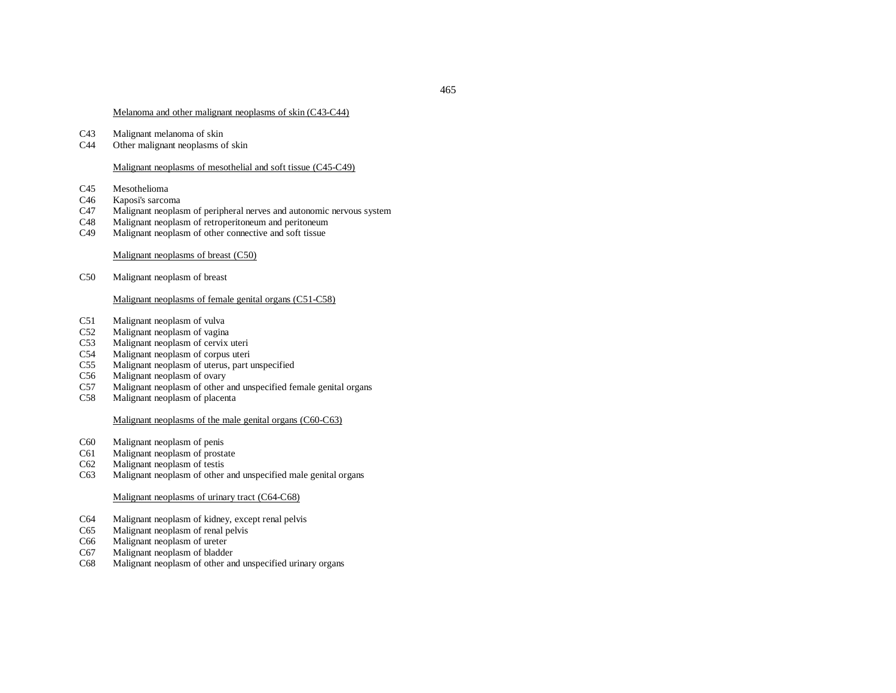#### Melanoma and other malignant neoplasms of skin (C43-C44)

- C43Malignant melanoma of skin
- C44Other malignant neoplasms of skin

# Malignant neoplasms of mesothelial and soft tissue (C45-C49)

- C45Mesothelioma
- C46Kaposi's sarcoma
- C47Malignant neoplasm of peripheral nerves and autonomic nervous system
- C48Malignant neoplasm of retroperitoneum and peritoneum
- C49Malignant neoplasm of other connective and soft tissue

# Malignant neoplasms of breast (C50)

C50Malignant neoplasm of breast

# Malignant neoplasms of female genital organs (C51-C58)

- C51Malignant neoplasm of vulva
- C52Malignant neoplasm of vagina
- C53Malignant neoplasm of cervix uteri
- C54Malignant neoplasm of corpus uteri
- C55Malignant neoplasm of uterus, par<sup>t</sup> unspecified
- C56Malignant neoplasm of ovary
- C57Malignant neoplasm of other and unspecified female genital organs
- C58Malignant neoplasm of placenta

## Malignant neoplasms of the male genital organs (C60-C63)

- C60Malignant neoplasm of penis
- C61Malignant neoplasm of prostate
- C62Malignant neoplasm of testis
- C63Malignant neoplasm of other and unspecified male genital organs

# Malignant neoplasms of urinary tract (C64-C68)

- C64Malignant neoplasm of kidney, excep<sup>t</sup> renal pelvis
- C65Malignant neoplasm of renal pelvis
- C66Malignant neoplasm of ureter
- C67Malignant neoplasm of bladder
- C68Malignant neoplasm of other and unspecified urinary organs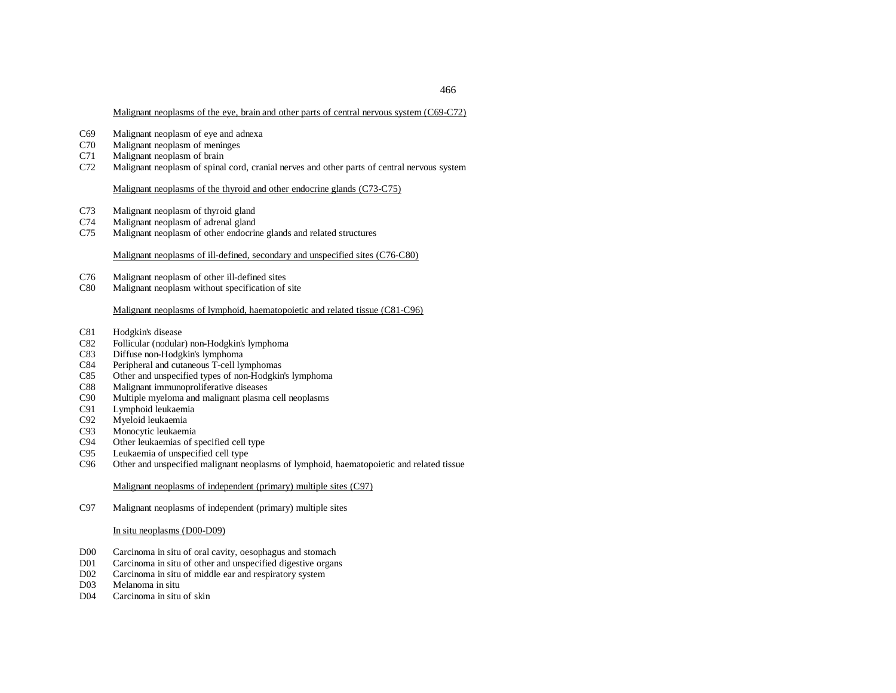# Malignant neoplasms of the eye, brain and other parts of central nervous system (C69-C72)

- C69Malignant neoplasm of eye and adnexa
- C70Malignant neoplasm of meninges
- C71Malignant neoplasm of brain
- C72Malignant neoplasm of spinal cord, cranial nerves and other parts of central nervous system

Malignant neoplasms of the thyroid and other endocrine glands (C73-C75)

- C73Malignant neoplasm of thyroid gland
- C74Malignant neoplasm of adrenal gland
- C75Malignant neoplasm of other endocrine glands and related structures

# Malignant neoplasms of ill-defined, secondary and unspecified sites (C76-C80)

- C76Malignant neoplasm of other ill-defined sites
- C80Malignant neoplasm without specification of site

# Malignant neoplasms of lymphoid, haematopoietic and related tissue (C81-C96)

- C81Hodgkin's disease
- C82Follicular (nodular) non-Hodgkin's lymphoma
- C83Diffuse non-Hodgkin's lymphoma
- C84Peripheral and cutaneous T-cell lymphomas
- C85Other and unspecified types of non-Hodgkin's lymphoma
- C88Malignant immunoproliferative diseases
- C90Multiple myeloma and malignant plasma cell neoplasms
- C91Lymphoid leukaemia
- C92Myeloid leukaemia
- C93Monocytic leukaemia
- C94Other leukaemias of specified cell type
- C95Leukaemia of unspecified cell type
- C96Other and unspecified malignant neoplasms of lymphoid, haematopoietic and related tissue

Malignant neoplasms of independent (primary) multiple sites (C97)

C97Malignant neoplasms of independent (primary) multiple sites

# In situ neoplasms (D00-D09)

- D00Carcinoma in situ of oral cavity, oesophagus and stomach
- D01Carcinoma in situ of other and unspecified digestive organs
- D02Carcinoma in situ of middle ear and respiratory system
- D<sub>03</sub> Melanoma in situ
- D04Carcinoma in situ of skin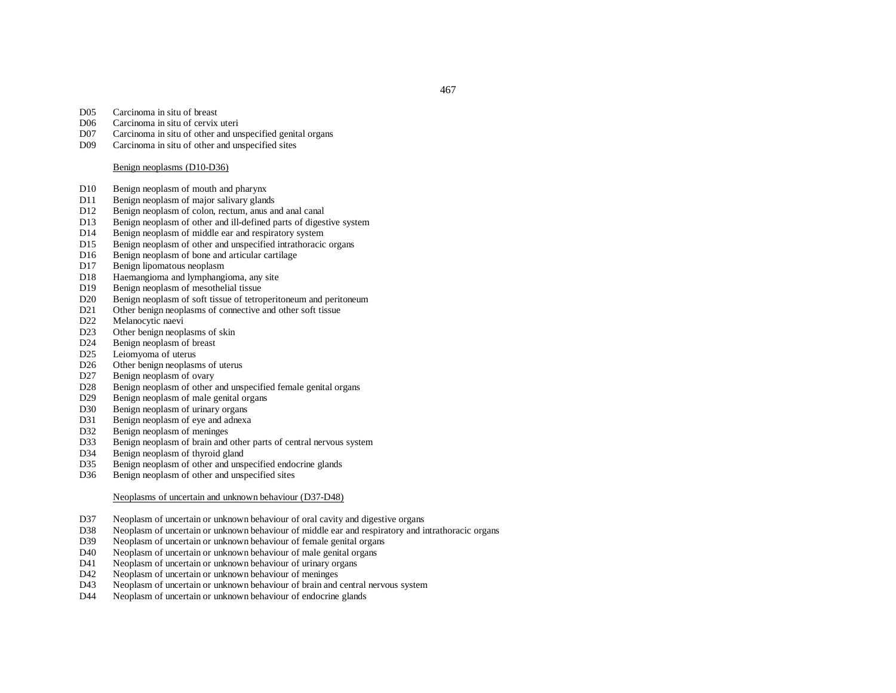- D05Carcinoma in situ of breast
- D06Carcinoma in situ of cervix uteri
- D07Carcinoma in situ of other and unspecified genital organs
- D09Carcinoma in situ of other and unspecified sites

#### Benign neoplasms (D10-D36)

- D10Benign neoplasm of mouth and pharynx
- D11Benign neoplasm of major salivary glands
- D<sub>12</sub> Benign neoplasm of colon, rectum, anus and anal canal
- D13Benign neoplasm of other and ill-defined parts of digestive system
- D<sub>14</sub> Benign neoplasm of middle ear and respiratory system
- D15Benign neoplasm of other and unspecified intrathoracic organs
- D<sub>16</sub> Benign neoplasm of bone and articular cartilage
- D<sub>17</sub> Benign lipomatous neoplasm
- D18Haemangioma and lymphangioma, any site
- D<sub>19</sub> Benign neoplasm of mesothelial tissue
- D20Benign neoplasm of soft tissue of tetroperitoneum and peritoneum
- D<sub>21</sub> Other benign neoplasms of connective and other soft tissue
- D22Melanocytic naevi
- D23Other benign neoplasms of skin
- D<sub>24</sub> Benign neoplasm of breast
- D<sub>25</sub> Leiomyoma of uterus
- D<sub>26</sub> Other benign neoplasms of uterus
- D<sub>27</sub> Benign neoplasm of ovary
- D28Benign neoplasm of other and unspecified female genital organs
- D<sub>29</sub> Benign neoplasm of male genital organs
- D30Benign neoplasm of urinary organs
- D31Benign neoplasm of eye and adnexa
- D32Benign neoplasm of meninges
- D33Benign neoplasm of brain and other parts of central nervous system
- D34Benign neoplasm of thyroid gland
- D35Benign neoplasm of other and unspecified endocrine glands
- D36Benign neoplasm of other and unspecified sites

## Neoplasms of uncertain and unknown behaviour (D37-D48)

- D37Neoplasm of uncertain or unknown behaviour of oral cavity and digestive organs
- D38Neoplasm of uncertain or unknown behaviour of middle ear and respiratory and intrathoracic organs
- D39Neoplasm of uncertain or unknown behaviour of female genital organs
- D40Neoplasm of uncertain or unknown behaviour of male genital organs
- D41Neoplasm of uncertain or unknown behaviour of urinary organs
- D42Neoplasm of uncertain or unknown behaviour of meninges
- D<sub>43</sub> Neoplasm of uncertain or unknown behaviour of brain and central nervous system
- D44Neoplasm of uncertain or unknown behaviour of endocrine glands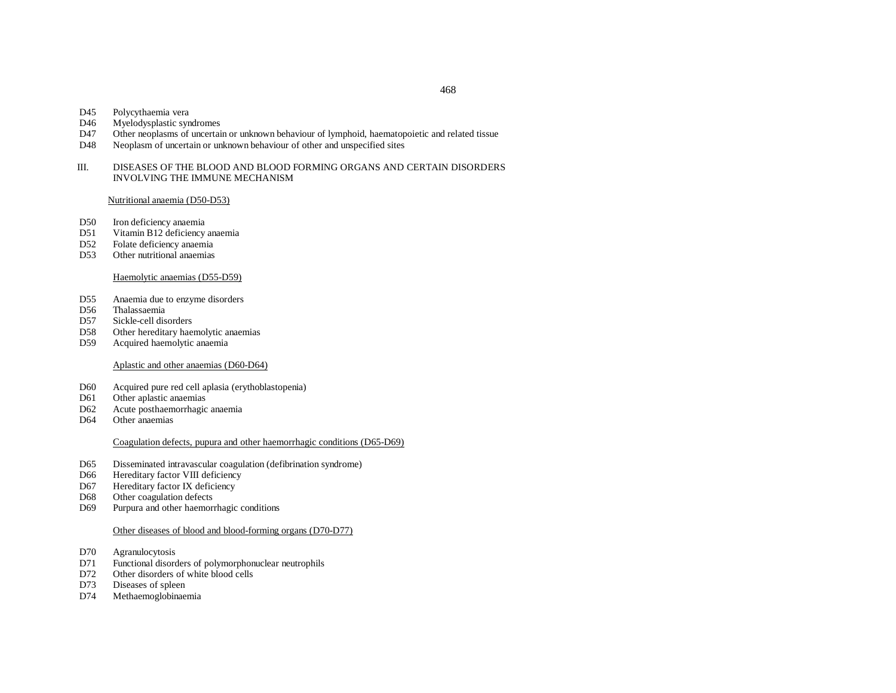- D45Polycythaemia vera
- D46Myelodysplastic syndromes
- D47Other neoplasms of uncertain or unknown behaviour of lymphoid, haematopoietic and related tissue
- D48Neoplasm of uncertain or unknown behaviour of other and unspecified sites
- III. DISEASES OF THE BLOOD AND BLOOD FORMING ORGANS AND CERTAIN DISORDERS INVOLVING THE IMMUNE MECHANISM

Nutritional anaemia (D50-D53)

- D50Iron deficiency anaemia
- D<sub>51</sub> Vitamin B12 deficiency anaemia
- D52Folate deficiency anaemia
- D53Other nutritional anaemias

## Haemolytic anaemias (D55-D59)

- D<sub>55</sub> Anaemia due to enzyme disorders
- D<sub>56</sub> Thalassaemia
- D<sub>57</sub> Sickle-cell disorders
- D58Other hereditary haemolytic anaemias
- D<sub>59</sub> Acquired haemolytic anaemia

#### Aplastic and other anaemias (D60-D64)

- D60Acquired pure red cell aplasia (erythoblastopenia)
- D61Other aplastic anaemias
- D62Acute posthaemorrhagic anaemia
- D64Other anaemias

## Coagulation defects, pupura and other haemorrhagic conditions (D65-D69)

- D65Disseminated intravascular coagulation (defibrination syndrome)
- D66Hereditary factor VIII deficiency
- D67Hereditary factor IX deficiency
- D68Other coagulation defects
- D69Purpura and other haemorrhagic conditions

#### Other diseases of blood and blood-forming organs (D70-D77)

- D70Agranulocytosis
- D71 Functional disorders of polymorphonuclear neutrophils
- D72Other disorders of white blood cells
- D73Diseases of spleen
- D74Methaemoglobinaemia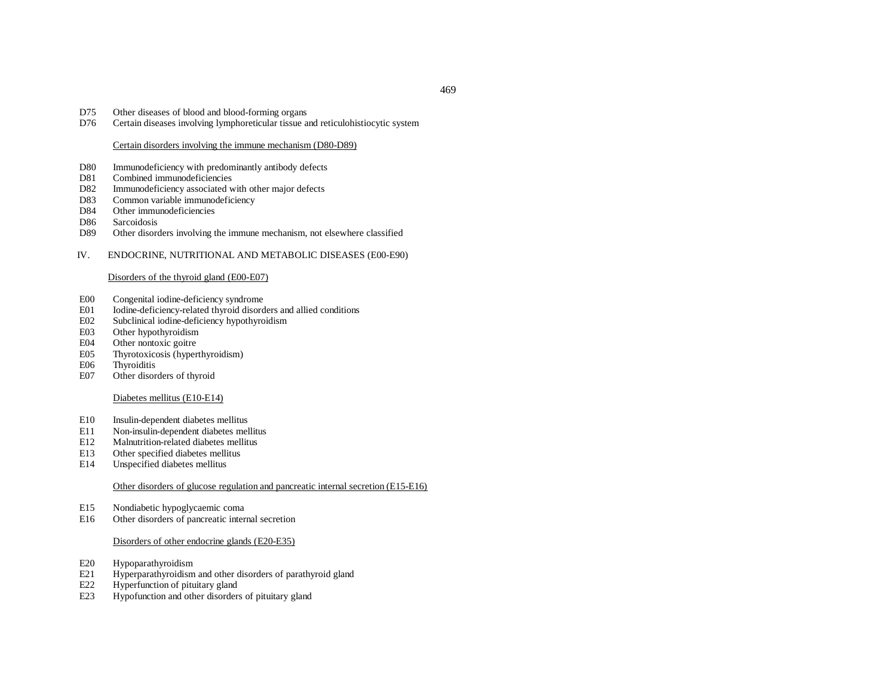- D75 Other diseases of blood and blood-forming organs
- D76Certain diseases involving lymphoreticular tissue and reticulohistiocytic system

## Certain disorders involving the immune mechanism (D80-D89)

- D80Immunodeficiency with predominantly antibody defects
- D81Combined immunodeficiencies
- D82Immunodeficiency associated with other major defects
- D83Common variable immunodeficiency
- D84Other immunodeficiencies
- D86Sarcoidosis
- D89Other disorders involving the immune mechanism, not elsewhere classified
- IV.ENDOCRINE, NUTRITIONAL AND METABOLIC DISEASES (E00-E90)

## Disorders of the thyroid gland (E00-E07)

- E00Congenital iodine-deficiency syndrome
- E01Iodine-deficiency-related thyroid disorders and allied conditions
- E02Subclinical iodine-deficiency hypothyroidism
- E03Other hypothyroidism
- E04Other nontoxic goitre
- E05Thyrotoxicosis (hyperthyroidism)
- E06**Thyroiditis**
- E07Other disorders of thyroid

#### Diabetes mellitus (E10-E14)

- E10Insulin-dependent diabetes mellitus
- E11Non-insulin-dependent diabetes mellitus
- E12Malnutrition-related diabetes mellitus
- E13Other specified diabetes mellitus
- E14Unspecified diabetes mellitus

## Other disorders of glucose regulation and pancreatic internal secretion (E15-E16)

- E15Nondiabetic hypoglycaemic coma
- E16Other disorders of pancreatic internal secretion

## Disorders of other endocrine glands (E20-E35)

- E20Hypoparathyroidism
- E21Hyperparathyroidism and other disorders of parathyroid gland
- E22Hyperfunction of pituitary gland
- E23Hypofunction and other disorders of pituitary gland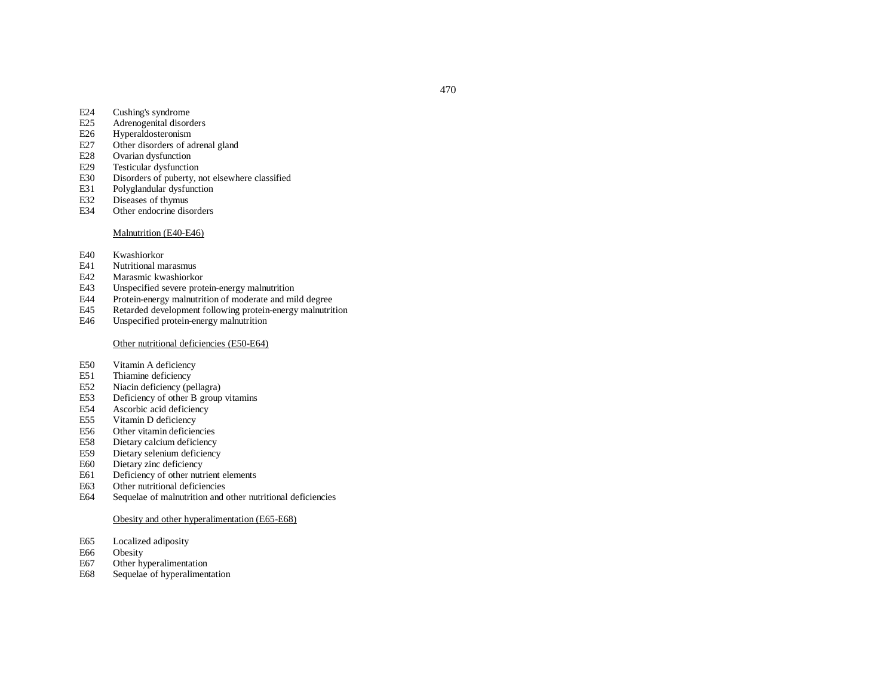- E24Cushing's syndrome
- E25Adrenogenital disorders
- E26Hyperaldosteronism
- E27Other disorders of adrenal gland
- E28Ovarian dysfunction
- E29Testicular dysfunction
- E30Disorders of puberty, not elsewhere classified
- E31Polyglandular dysfunction
- E32Diseases of thymus
- E34Other endocrine disorders

## Malnutrition (E40-E46)

- E40Kwashiorkor
- E41Nutritional marasmus
- E42Marasmic kwashiorkor
- E43Unspecified severe protein-energy malnutrition
- E44Protein-energy malnutrition of moderate and mild degree
- E45Retarded development following protein-energy malnutrition
- E46Unspecified protein-energy malnutrition

#### Other nutritional deficiencies (E50-E64)

- E50Vitamin A deficiency
- E51Thiamine deficiency
- E52Niacin deficiency (pellagra)
- E53Deficiency of other B group vitamins
- E54Ascorbic acid deficiency
- E55Vitamin D deficiency
- E56Other vitamin deficiencies
- E58Dietary calcium deficiency
- E59Dietary selenium deficiency
- E60Dietary zinc deficiency
- E61Deficiency of other nutrient elements
- E63Other nutritional deficiencies
- E64Sequelae of malnutrition and other nutritional deficiencies

## Obesity and other hyperalimentation (E65-E68)

- E65Localized adiposity
- E66Obesity
- E67Other hyperalimentation
- E68Sequelae of hyperalimentation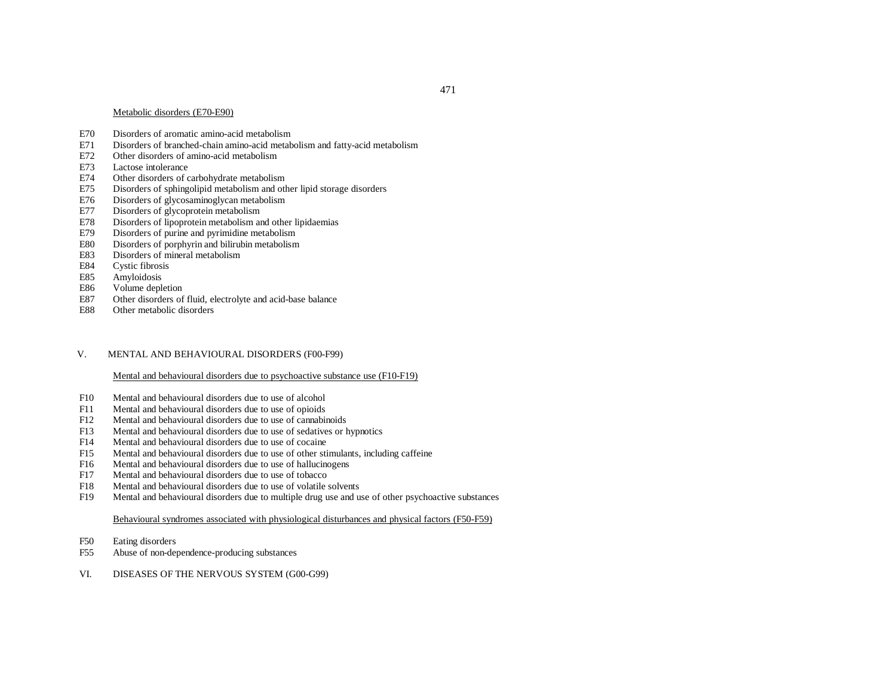#### Metabolic disorders (E70-E90)

- E70Disorders of aromatic amino-acid metabolism
- E71Disorders of branched-chain amino-acid metabolism and fatty-acid metabolism
- E72Other disorders of amino-acid metabolism
- E73Lactose intolerance
- E74Other disorders of carbohydrate metabolism
- E75Disorders of sphingolipid metabolism and other lipid storage disorders
- E76Disorders of glycosaminoglycan metabolism
- E77Disorders of glycoprotein metabolism
- E78Disorders of lipoprotein metabolism and other lipidaemias
- E79Disorders of purine and pyrimidine metabolism
- E80Disorders of porphyrin and bilirubin metabolism
- E83Disorders of mineral metabolism
- E84Cystic fibrosis
- E85Amyloidosis
- E86Volume depletion
- E87Other disorders of fluid, electrolyte and acid-base balance
- E88Other metabolic disorders

#### V.MENTAL AND BEHAVIOURAL DISORDERS (F00-F99)

## Mental and behavioural disorders due to psychoactive substance use (F10-F19)

- F10Mental and behavioural disorders due to use of alcohol
- F11Mental and behavioural disorders due to use of opioids
- F12Mental and behavioural disorders due to use of cannabinoids
- F13Mental and behavioural disorders due to use of sedatives or hypnotics
- F14Mental and behavioural disorders due to use of cocaine
- F15Mental and behavioural disorders due to use of other stimulants, including caffeine
- F16Mental and behavioural disorders due to use of hallucinogens
- F17Mental and behavioural disorders due to use of tobacco
- F18Mental and behavioural disorders due to use of volatile solvents
- F19Mental and behavioural disorders due to multiple drug use and use of other psychoactive substances

#### Behavioural syndromes associated with physiological disturbances and physical factors (F50-F59)

- F50Eating disorders
- F55Abuse of non-dependence-producing substances
- VI.DISEASES OF THE NERVOUS SYSTEM (G00-G99)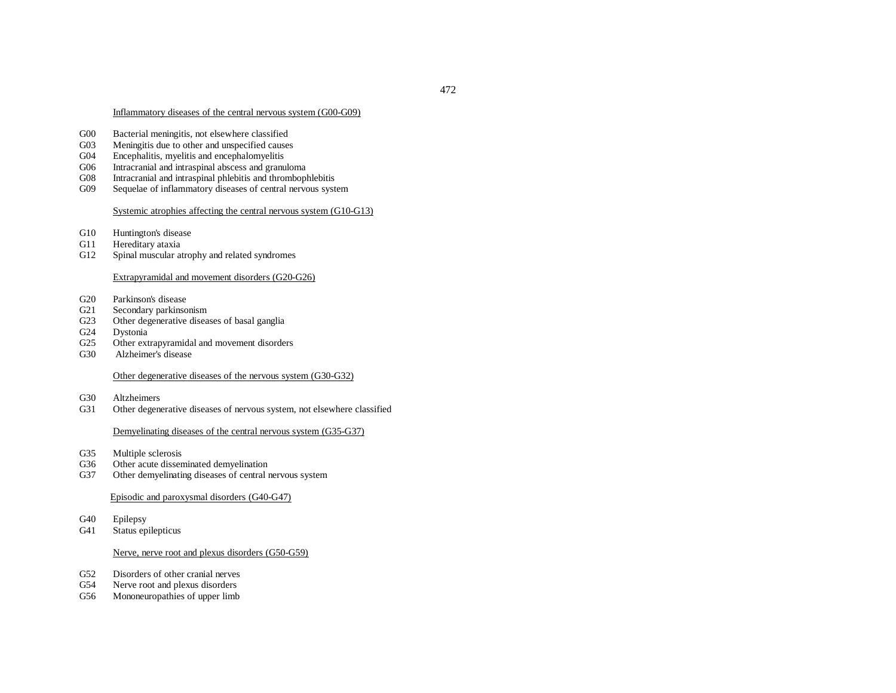# Inflammatory diseases of the central nervous system (G00-G09)

- G00Bacterial meningitis, not elsewhere classified
- G03Meningitis due to other and unspecified causes
- G04Encephalitis, myelitis and encephalomyelitis
- G06Intracranial and intraspinal abscess and granuloma
- G08Intracranial and intraspinal phlebitis and thrombophlebitis
- G09Sequelae of inflammatory diseases of central nervous system

# Systemic atrophies affecting the central nervous system (G10-G13)

- G10Huntington's disease
- G11Hereditary ataxia
- G12Spinal muscular atrophy and related syndromes

# Extrapyramidal and movement disorders (G20-G26)

- G20Parkinson's disease
- $G21$ Secondary parkinsonism
- G23Other degenerative diseases of basal ganglia
- G24Dystonia
- $G<sub>25</sub>$ Other extrapyramidal and movement disorders
- G30Alzheimer's disease

## Other degenerative diseases of the nervous system (G30-G32)

- G30Altzheimers
- G31Other degenerative diseases of nervous system, not elsewhere classified

# Demyelinating diseases of the central nervous system (G35-G37)

- G35Multiple sclerosis
- G36Other acute disseminated demyelination
- G37Other demyelinating diseases of central nervous system

# Episodic and paroxysmal disorders (G40-G47)

- G40Epilepsy
- G41Status epilepticus

## Nerve, nerve root and plexus disorders (G50-G59)

- G52Disorders of other cranial nerves
- G54Nerve root and plexus disorders
- G56Mononeuropathies of upper limb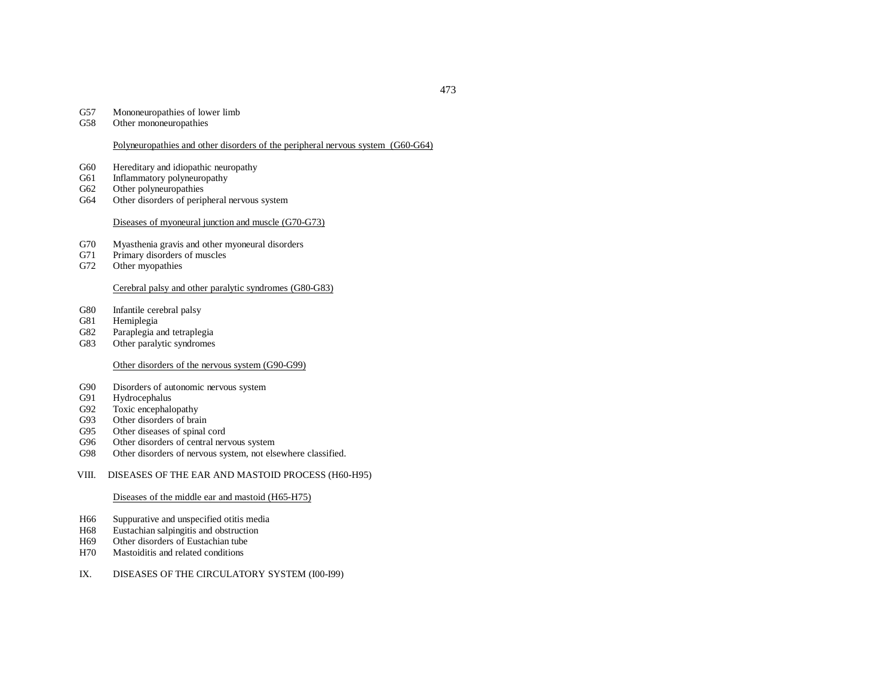#### G57Mononeuropathies of lower limb

G58Other mononeuropathies

# Polyneuropathies and other disorders of the peripheral nervous system (G60-G64)

- G60Hereditary and idiopathic neuropathy
- G61Inflammatory polyneuropathy
- G62Other polyneuropathies
- G64Other disorders of peripheral nervous system

#### Diseases of myoneural junction and muscle (G70-G73)

- G70Myasthenia gravis and other myoneural disorders
- G71Primary disorders of muscles
- G72Other myopathies

## Cerebral palsy and other paralytic syndromes (G80-G83)

- G80Infantile cerebral palsy
- G81Hemiplegia
- G82Paraplegia and tetraplegia
- G83Other paralytic syndromes

## Other disorders of the nervous system (G90-G99)

- G90Disorders of autonomic nervous system
- G91Hydrocephalus
- G92Toxic encephalopathy
- G93Other disorders of brain
- G95Other diseases of spinal cord
- G96Other disorders of central nervous system
- G98Other disorders of nervous system, not elsewhere classified.
- VIII.DISEASES OF THE EAR AND MASTOID PROCESS (H60-H95)

#### Diseases of the middle ear and mastoid (H65-H75)

- H66Suppurative and unspecified otitis media
- H68Eustachian salpingitis and obstruction
- H69Other disorders of Eustachian tube
- H70Mastoiditis and related conditions

#### IX.DISEASES OF THE CIRCULATORY SYSTEM (I00-I99)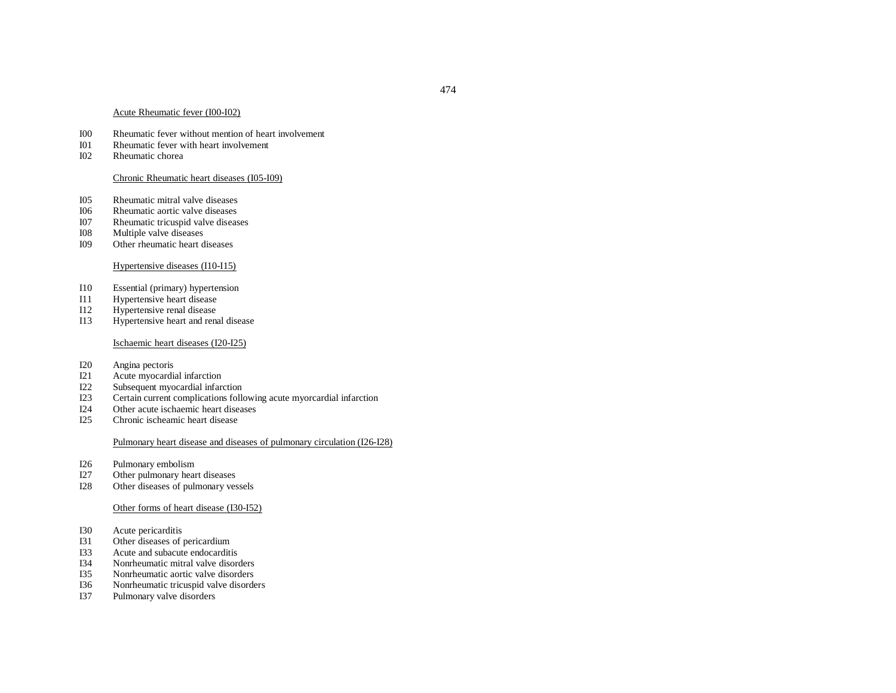#### Acute Rheumatic fever (I00-I02)

- I00Rheumatic fever without mention of heart involvement
- I01Rheumatic fever with heart involvement
- I02Rheumatic chorea

#### Chronic Rheumatic heart diseases (I05-I09)

- I05Rheumatic mitral valve diseases
- I06Rheumatic aortic valve diseases
- I07Rheumatic tricuspid valve diseases
- I08Multiple valve diseases
- I09Other rheumatic heart diseases

## Hypertensive diseases (I10-I15)

- I10Essential (primary) hypertension
- I11Hypertensive heart disease
- I12Hypertensive renal disease
- I13Hypertensive heart and renal disease

#### Ischaemic heart diseases (I20-I25)

- I20Angina pectoris
- I21Acute myocardial infarction
- I22Subsequent myocardial infarction
- I23Certain current complications following acute myorcardial infarction
- I24Other acute ischaemic heart diseases
- I25Chronic ischeamic heart disease

# Pulmonary heart disease and diseases of pulmonary circulation (I26-I28)

- I26Pulmonary embolism
- I27Other pulmonary heart diseases
- I28Other diseases of pulmonary vessels

#### Other forms of heart disease (I30-I52)

- I30Acute pericarditis
- I31Other diseases of pericardium
- I33Acute and subacute endocarditis
- I34Nonrheumatic mitral valve disorders
- I35Nonrheumatic aortic valve disorders
- I36Nonrheumatic tricuspid valve disorders
- I37Pulmonary valve disorders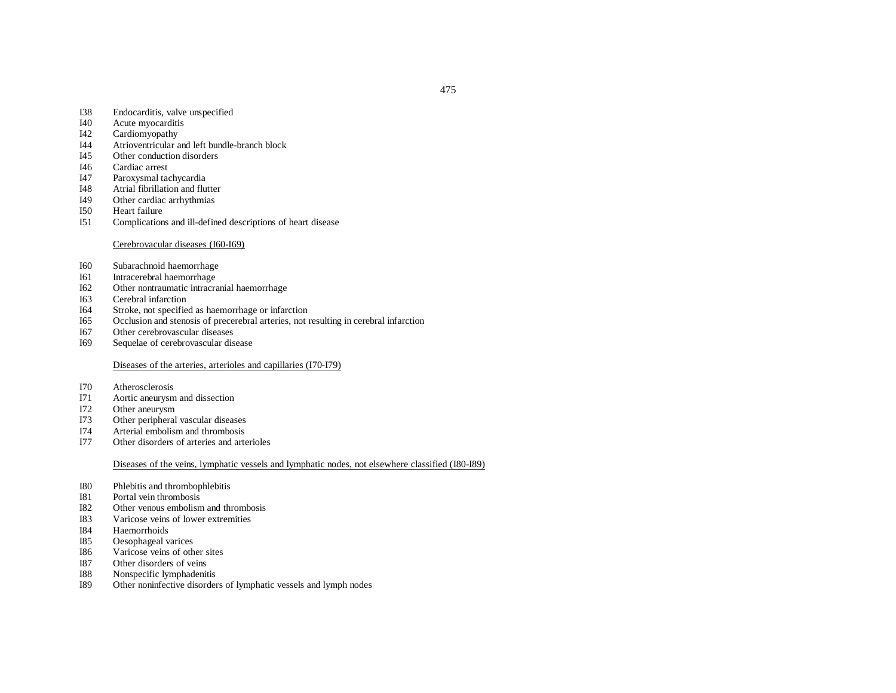475

- I38Endocarditis, valve unspecified
- I40Acute myocarditis
- I42Cardiomyopathy
- I44Atrioventricular and left bundle-branch block
- I45Other conduction disorders
- I46Cardiac arrest
- I47Paroxysmal tachycardia
- I48Atrial fibrillation and flutter
- I49Other cardiac arrhythmias
- I50Heart failure
- I51Complications and ill-defined descriptions of heart disease

#### Cerebrovacular diseases (I60-I69)

- I60Subarachnoid haemorrhage
- I61Intracerebral haemorrhage
- I62Other nontraumatic intracranial haemorrhage
- I63Cerebral infarction
- I64Stroke, not specified as haemorrhage or infarction
- I65Occlusion and stenosis of precerebral arteries, not resulting in cerebral infarction
- I67Other cerebrovascular diseases
- I69Sequelae of cerebrovascular disease

## Diseases of the arteries, arterioles and capillaries (I70-I79)

- I70Atherosclerosis
- I71Aortic aneurysm and dissection
- I72Other aneurysm
- I73Other peripheral vascular diseases
- I74Arterial embolism and thrombosis
- I77Other disorders of arteries and arterioles

#### Diseases of the veins, lymphatic vessels and lymphatic nodes, not elsewhere classified (I80-I89)

- I80Phlebitis and thrombophlebitis
- I81Portal vein thrombosis
- I822 Other venous embolism and thrombosis
- I83Varicose veins of lower extremities
- I84Haemorrhoids
- I85Oesophageal varices
- I86Varicose veins of other sites
- I87Other disorders of veins
- I88Nonspecific lymphadenitis
- I89Other noninfective disorders of lymphatic vessels and lymph nodes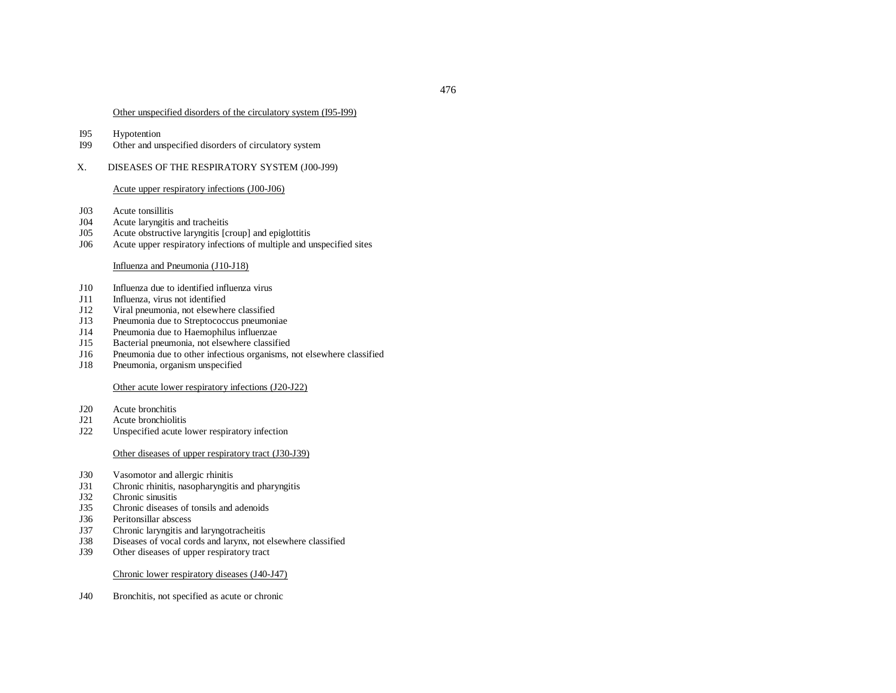## Other unspecified disorders of the circulatory system (I95-I99)

- I95Hypotention
- I99Other and unspecified disorders of circulatory system
- X.DISEASES OF THE RESPIRATORY SYSTEM (J00-J99)

## Acute upper respiratory infections (J00-J06)

- J03Acute tonsillitis
- J04Acute laryngitis and tracheitis
- J05Acute obstructive laryngitis [croup] and epiglottitis
- J06Acute upper respiratory infections of multiple and unspecified sites

# Influenza and Pneumonia (J10-J18)

- J10Influenza due to identified influenza virus
- J11Influenza, virus not identified
- J12Viral pneumonia, not elsewhere classified
- J13Pneumonia due to Streptococcus pneumoniae
- J14Pneumonia due to Haemophilus influenzae
- J15Bacterial pneumonia, not elsewhere classified
- J16Pneumonia due to other infectious organisms, not elsewhere classified
- J18Pneumonia, organism unspecified

# Other acute lower respiratory infections (J20-J22)

- J20Acute bronchitis
- J21Acute bronchiolitis
- J22Unspecified acute lower respiratory infection

## Other diseases of upper respiratory tract (J30-J39)

- J30Vasomotor and allergic rhinitis
- J31Chronic rhinitis, nasopharyngitis and pharyngitis
- J32Chronic sinusitis
- J35Chronic diseases of tonsils and adenoids
- J36Peritonsillar abscess
- J37Chronic laryngitis and laryngotracheitis
- J38Diseases of vocal cords and larynx, not elsewhere classified
- J39Other diseases of upper respiratory tract

## Chronic lower respiratory diseases (J40-J47)

J40Bronchitis, not specified as acute or chronic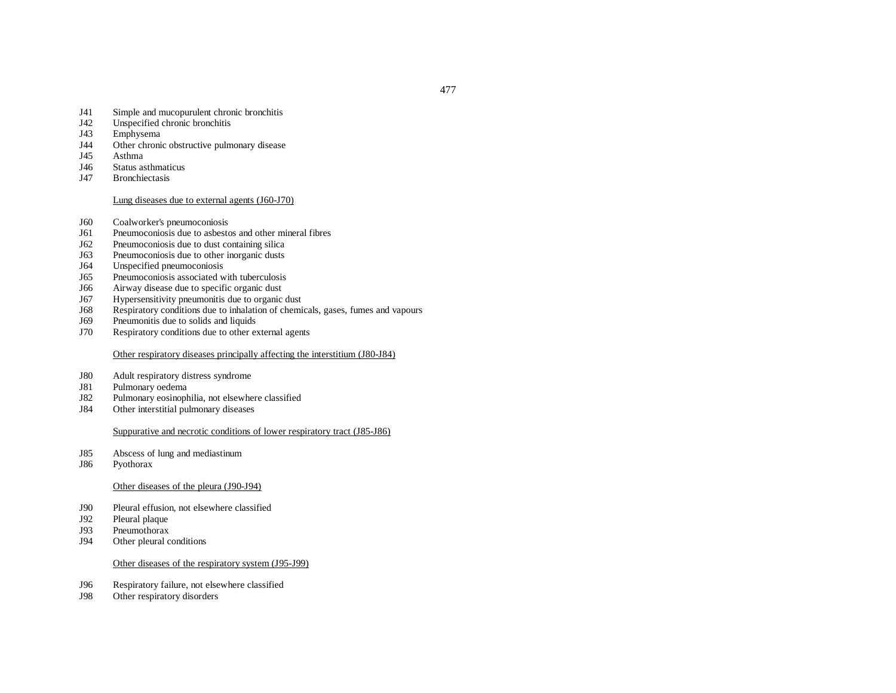- J41Simple and mucopurulent chronic bronchitis
- J42Unspecified chronic bronchitis
- J43Emphysema
- J44Other chronic obstructive pulmonary disease
- J45Asthma
- J46Status asthmaticus
- J47Bronchiectasis

# Lung diseases due to external agents (J60-J70)

- J60Coalworker's pneumoconiosis
- J61Pneumoconiosis due to asbestos and other mineral fibres
- J62Pneumoconiosis due to dust containing silica
- J63Pneumoconiosis due to other inorganic dusts
- J64Unspecified pneumoconiosis
- J65Pneumoconiosis associated with tuberculosis
- J66Airway disease due to specific organic dust
- J67Hypersensitivity pneumonitis due to organic dust
- J68Respiratory conditions due to inhalation of chemicals, gases, fumes and vapours
- J69Pneumonitis due to solids and liquids
- J70Respiratory conditions due to other external agents

# Other respiratory diseases principally affecting the interstitium (J80-J84)

- J80Adult respiratory distress syndrome
- J81Pulmonary oedema
- J82Pulmonary eosinophilia, not elsewhere classified
- J84Other interstitial pulmonary diseases

## Suppurative and necrotic conditions of lower respiratory tract (J85-J86)

- J85Abscess of lung and mediastinum
- J86Pyothorax

## Other diseases of the pleura (J90-J94)

- J90Pleural effusion, not elsewhere classified
- J92Pleural plaque
- J93Pneumothorax
- J94Other pleural conditions

#### Other diseases of the respiratory system (J95-J99)

- J96Respiratory failure, not elsewhere classified
- J98Other respiratory disorders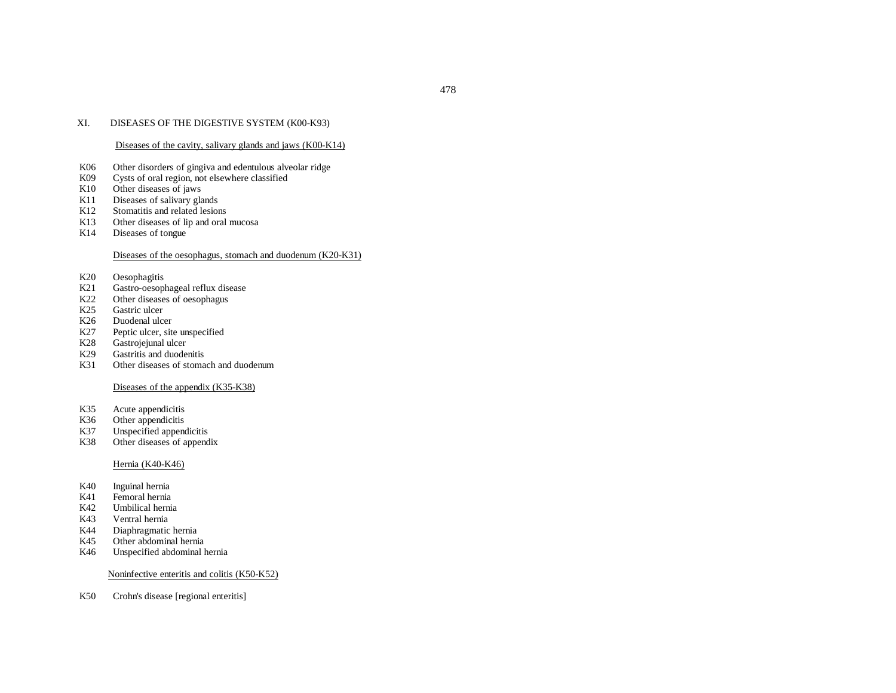#### XI.DISEASES OF THE DIGESTIVE SYSTEM (K00-K93)

#### Diseases of the cavity, salivary glands and jaws (K00-K14)

- K06Other disorders of gingiva and edentulous alveolar ridge
- K09Cysts of oral region, not elsewhere classified
- K10Other diseases of jaws
- K11Diseases of salivary glands
- K12Stomatitis and related lesions
- K13Other diseases of lip and oral mucosa
- K14Diseases of tongue

#### Diseases of the oesophagus, stomach and duodenum (K20-K31)

- K20Oesophagitis
- K21Gastro-oesophageal reflux disease
- K22Other diseases of oesophagus
- K25Gastric ulcer
- K26Duodenal ulcer
- K27Peptic ulcer, site unspecified
- K28Gastrojejunal ulcer
- K29Gastritis and duodenitis
- K31Other diseases of stomach and duodenum

#### Diseases of the appendix (K35-K38)

- K35Acute appendicitis
- K36Other appendicitis
- K37Unspecified appendicitis
- K38Other diseases of appendix

#### Hernia (K40-K46)

- K40Inguinal hernia
- K41Femoral hernia
- K42Umbilical hernia
- K43Ventral hernia
- K44Diaphragmatic hernia
- K45Other abdominal hernia
- K46Unspecified abdominal hernia

#### Noninfective enteritis and colitis (K50-K52)

K50Crohn's disease [regional enteritis]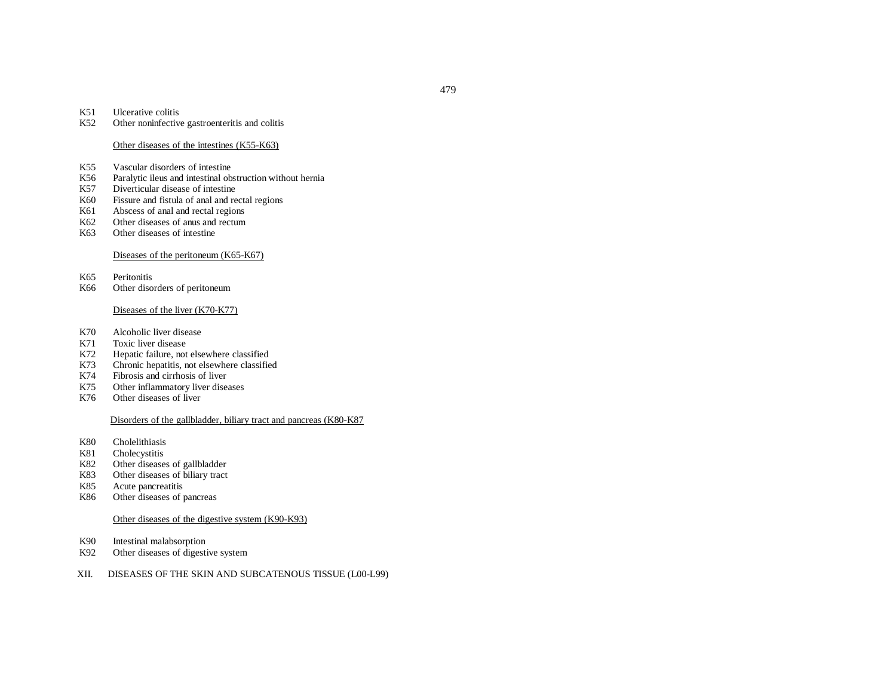#### K51Ulcerative colitis

K52Other noninfective gastroenteritis and colitis

#### Other diseases of the intestines (K55-K63)

- K55Vascular disorders of intestine
- K56Paralytic ileus and intestinal obstruction without hernia
- K57Diverticular disease of intestine
- K60Fissure and fistula of anal and rectal regions
- K61Abscess of anal and rectal regions
- K62Other diseases of anus and rectum
- K63Other diseases of intestine

#### Diseases of the peritoneum (K65-K67)

K65Peritonitis

K66Other disorders of peritoneum

#### Diseases of the liver (K70-K77)

- K70Alcoholic liver disease
- K71Toxic liver disease
- K72Hepatic failure, not elsewhere classified
- K73Chronic hepatitis, not elsewhere classified
- K74Fibrosis and cirrhosis of liver
- K75Other inflammatory liver diseases
- K76Other diseases of liver

#### Disorders of the gallbladder, biliary tract and pancreas (K80-K87

- K80Cholelithiasis
- K81Cholecystitis
- K82Other diseases of gallbladder
- K83Other diseases of biliary tract
- K85Acute pancreatitis
- K86Other diseases of pancreas

#### Other diseases of the digestive system (K90-K93)

- K90Intestinal malabsorption
- K92Other diseases of digestive system
- XII.DISEASES OF THE SKIN AND SUBCATENOUS TISSUE (L00-L99)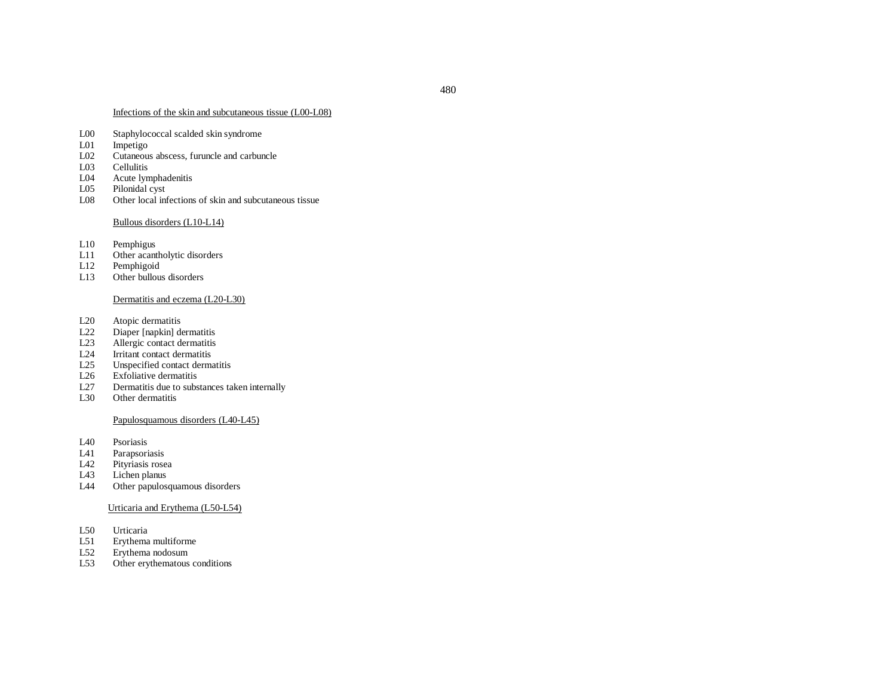#### Infections of the skin and subcutaneous tissue (L00-L08)

- L00Staphylococcal scalded skin syndrome
- L01Impetigo
- L02Cutaneous abscess, furuncle and carbuncle
- L03Cellulitis
- L04Acute lymphadenitis
- L05Pilonidal cys<sup>t</sup>
- L08Other local infections of skin and subcutaneous tissue

#### Bullous disorders (L10-L14)

- L10Pemphigus
- L11Other acantholytic disorders
- $L12$ Pemphigoid
- $L13$ Other bullous disorders

## Dermatitis and eczema (L20-L30)

- L20Atopic dermatitis
- L22Diaper [napkin] dermatitis
- L23Allergic contact dermatitis
- L24Irritant contact dermatitis
- $L25$ Unspecified contact dermatitis
- L26Exfoliative dermatitis
- L27Dermatitis due to substances taken internally
- L30Other dermatitis

# Papulosquamous disorders (L40-L45)

- L40Psoriasis
- L41Parapsoriasis
- L42Pityriasis rosea
- L43Lichen planus
- L44Other papulosquamous disorders

#### Urticaria and Erythema (L50-L54)

- L50Urticaria
- $L51$ Erythema multiforme
- L52Erythema nodosum
- L53Other erythematous conditions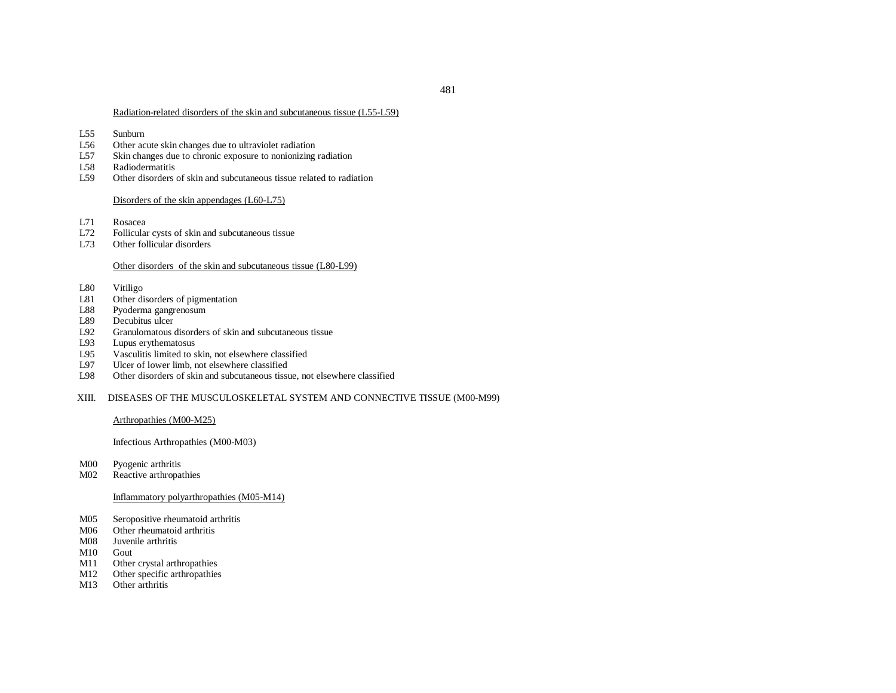#### Radiation-related disorders of the skin and subcutaneous tissue (L55-L59)

- L55Sunburn
- L56Other acute skin changes due to ultraviolet radiation
- L57Skin changes due to chronic exposure to nonionizing radiation
- L58Radiodermatitis
- L59Other disorders of skin and subcutaneous tissue related to radiation

#### Disorders of the skin appendages (L60-L75)

- L71Rosacea
- L72Follicular cysts of skin and subcutaneous tissue
- L73Other follicular disorders

### Other disorders of the skin and subcutaneous tissue (L80-L99)

- L80Vitiligo
- L81Other disorders of pigmentation
- L88Pyoderma gangrenosum
- L89Decubitus ulcer
- L92Granulomatous disorders of skin and subcutaneous tissue
- L93Lupus erythematosus
- L95Vasculitis limited to skin, not elsewhere classified
- L97Ulcer of lower limb, not elsewhere classified
- L98Other disorders of skin and subcutaneous tissue, not elsewhere classified
- XIII. DISEASES OF THE MUSCULOSKELETAL SYSTEM AND CONNECTIVE TISSUE (M00-M99)

## Arthropathies (M00-M25)

## Infectious Arthropathies (M00-M03)

- M00Pyogenic arthritis
- M02Reactive arthropathies

# Inflammatory polyarthropathies (M05-M14)

- M05Seropositive rheumatoid arthritis
- M06Other rheumatoid arthritis
- M08 Juvenile arthritis
- M10 Gout
- M11Other crystal arthropathies
- M12Other specific arthropathies
- M13Other arthritis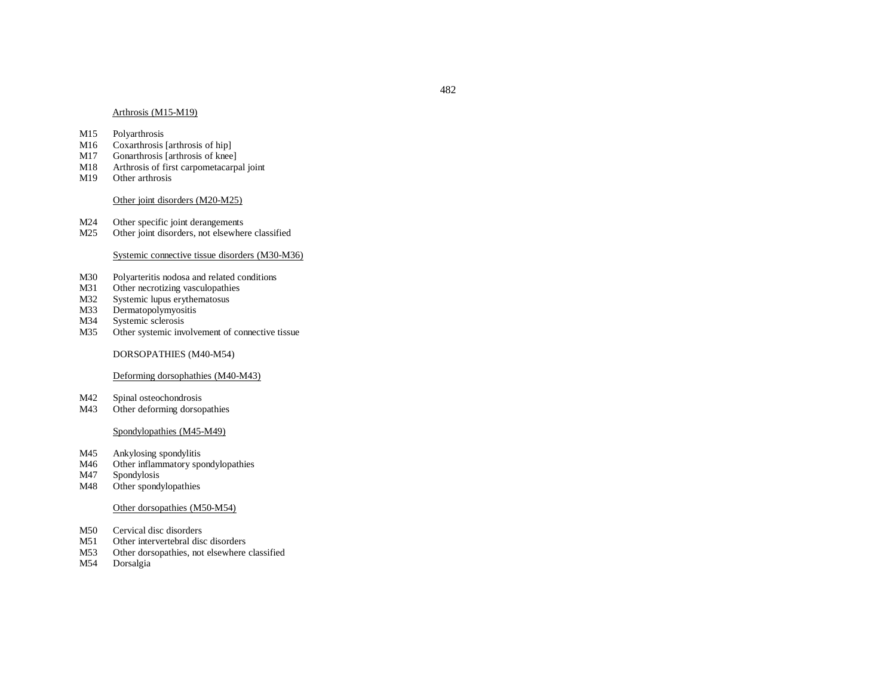#### Arthrosis (M15-M19)

- M15Polyarthrosis
- M16Coxarthrosis [arthrosis of hip]
- M17Gonarthrosis [arthrosis of knee]
- M18Arthrosis of first carpometacarpal joint
- M19Other arthrosis

#### Other joint disorders (M20-M25)

- M24Other specific joint derangements
- M25Other joint disorders, not elsewhere classified

# Systemic connective tissue disorders (M30-M36)

- M30Polyarteritis nodosa and related conditions
- M31Other necrotizing vasculopathies
- M32Systemic lupus erythematosus
- M33Dermatopolymyositis
- M34Systemic sclerosis
- M35Other systemic involvement of connective tissue

#### DORSOPATHIES (M40-M54)

## Deforming dorsophathies (M40-M43)

- M42Spinal osteochondrosis
- M43Other deforming dorsopathies

## Spondylopathies (M45-M49)

- M45Ankylosing spondylitis
- M46Other inflammatory spondylopathies
- M47Spondylosis
- M48Other spondylopathies

#### Other dorsopathies (M50-M54)

- M50Cervical disc disorders
- M51Other intervertebral disc disorders
- M53Other dorsopathies, not elsewhere classified
- M54Dorsalgia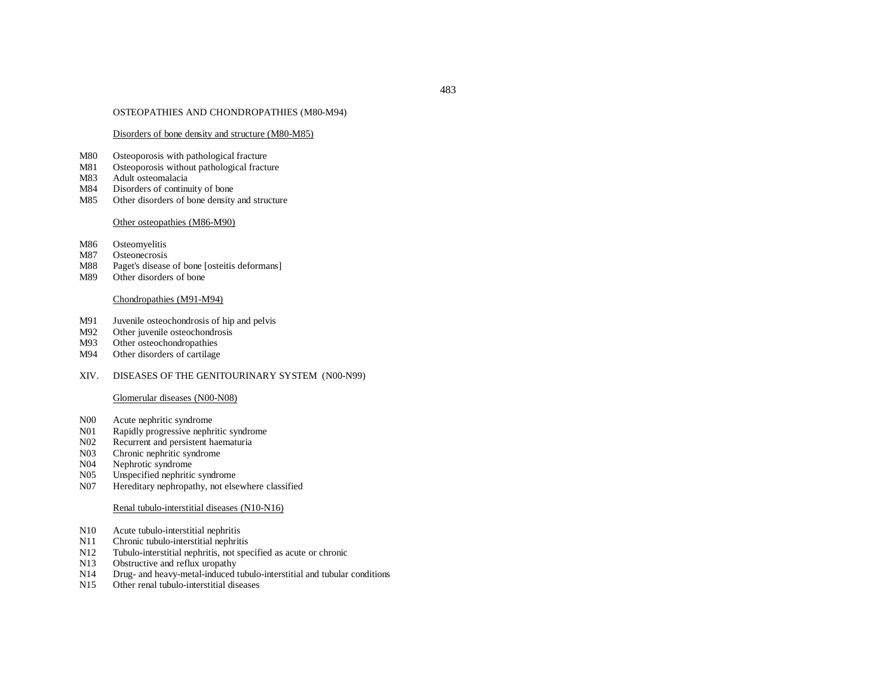#### OSTEOPATHIES AND CHONDROPATHIES (M80-M94)

#### Disorders of bone density and structure (M80-M85)

- M80Osteoporosis with pathological fracture
- M81Osteoporosis without pathological fracture
- M83Adult osteomalacia
- M84Disorders of continuity of bone
- M85Other disorders of bone density and structure

#### Other osteopathies (M86-M90)

- M86Osteomyelitis
- M87Osteonecrosis
- M88Paget's disease of bone [osteitis deformans]
- M89Other disorders of bone

# Chondropathies (M91-M94)

- M91Juvenile osteochondrosis of hip and pelvis
- M92Other juvenile osteochondrosis
- M93Other osteochondropathies
- M94Other disorders of cartilage

#### XIV. DISEASES OF THE GENITOURINARY SYSTEM (N00-N99)

#### Glomerular diseases (N00-N08)

- N00Acute nephritic syndrome
- N01Rapidly progressive nephritic syndrome
- N02Recurrent and persistent haematuria
- N03Chronic nephritic syndrome
- N04Nephrotic syndrome
- N05Unspecified nephritic syndrome
- N07Hereditary nephropathy, not elsewhere classified

#### Renal tubulo-interstitial diseases (N10-N16)

- N10Acute tubulo-interstitial nephritis
- N11Chronic tubulo-interstitial nephritis
- N12Tubulo-interstitial nephritis, not specified as acute or chronic
- N13Obstructive and reflux uropathy
- N14Drug- and heavy-metal-induced tubulo-interstitial and tubular conditions
- N15Other renal tubulo-interstitial diseases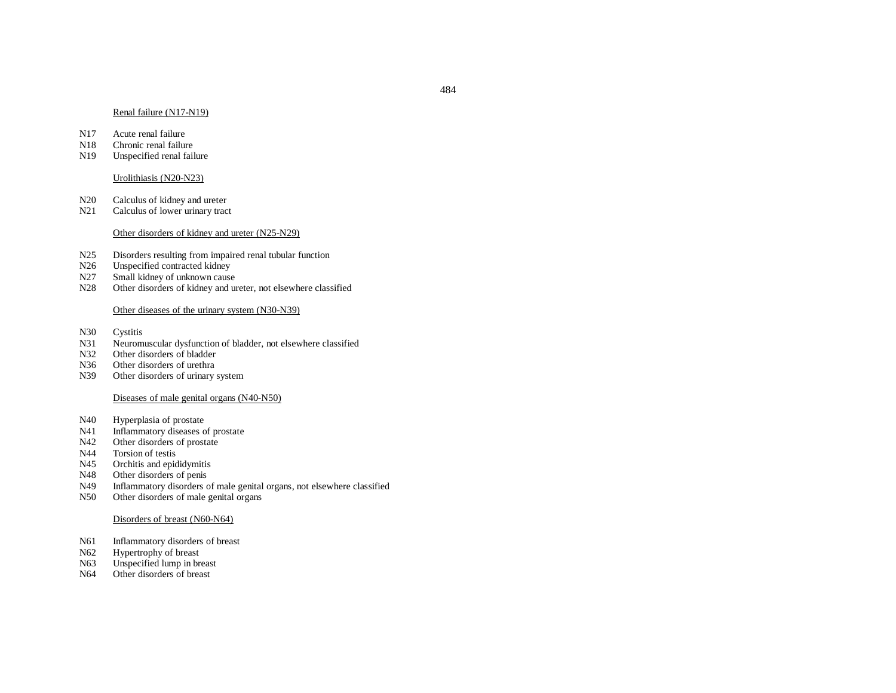#### Renal failure (N17-N19)

- N17Acute renal failure
- N18Chronic renal failure
- N19Unspecified renal failure

#### Urolithiasis (N20-N23)

- N20Calculus of kidney and ureter
- N21Calculus of lower urinary tract

#### Other disorders of kidney and ureter (N25-N29)

- N25Disorders resulting from impaired renal tubular function
- N26Unspecified contracted kidney
- N27Small kidney of unknown cause
- N28Other disorders of kidney and ureter, not elsewhere classified

#### Other diseases of the urinary system (N30-N39)

- N30Cystitis
- N31Neuromuscular dysfunction of bladder, not elsewhere classified
- N32Other disorders of bladder
- N36Other disorders of urethra
- N39Other disorders of urinary system

#### Diseases of male genital organs (N40-N50)

- N40Hyperplasia of prostate
- N41Inflammatory diseases of prostate
- N42Other disorders of prostate
- N44Torsion of testis
- N45Orchitis and epididymitis
- N48Other disorders of penis
- N49Inflammatory disorders of male genital organs, not elsewhere classified
- N50Other disorders of male genital organs

#### Disorders of breast (N60-N64)

- N61Inflammatory disorders of breast
- N62Hypertrophy of breast
- N63Unspecified lump in breast
- N64Other disorders of breast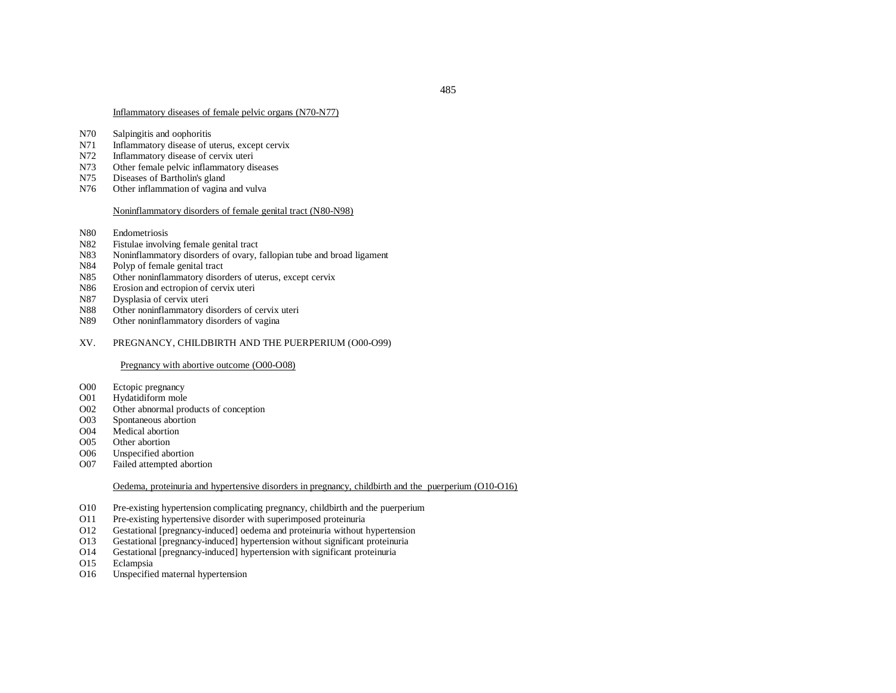# Inflammatory diseases of female pelvic organs (N70-N77)

- N70Salpingitis and oophoritis
- N71Inflammatory disease of uterus, excep<sup>t</sup> cervix
- N72 Inflammatory disease of cervix uteri
- N73Other female pelvic inflammatory diseases
- N75Diseases of Bartholin's gland
- N76Other inflammation of vagina and vulva

## Noninflammatory disorders of female genital tract (N80-N98)

- N80Endometriosis
- N82Fistulae involving female genital tract
- N83Noninflammatory disorders of ovary, fallopian tube and broad ligament
- N84Polyp of female genital tract
- N85Other noninflammatory disorders of uterus, excep<sup>t</sup> cervix
- N86Erosion and ectropion of cervix uteri
- N87Dysplasia of cervix uteri
- N88Other noninflammatory disorders of cervix uteri
- N89Other noninflammatory disorders of vagina

#### XV.PREGNANCY, CHILDBIRTH AND THE PUERPERIUM (O00-O99)

# Pregnancy with abortive outcome (O00-O08)

- O00Ectopic pregnancy
- O01Hydatidiform mole
- O02Other abnormal products of conception
- O03Spontaneous abortion
- O04Medical abortion
- O05Other abortion
- O06Unspecified abortion
- O07Failed attempted abortion

# Oedema, proteinuria and hypertensive disorders in pregnancy, childbirth and the puerperium (O10-O16)

- O10Pre-existing hypertension complicating pregnancy, childbirth and the puerperium
- O11Pre-existing hypertensive disorder with superimposed proteinuria
- O12Gestational [pregnancy-induced] oedema and proteinuria without hypertension
- O13Gestational [pregnancy-induced] hypertension without significant proteinuria
- O14Gestational [pregnancy-induced] hypertension with significant proteinuria
- O15Eclampsia
- O16Unspecified maternal hypertension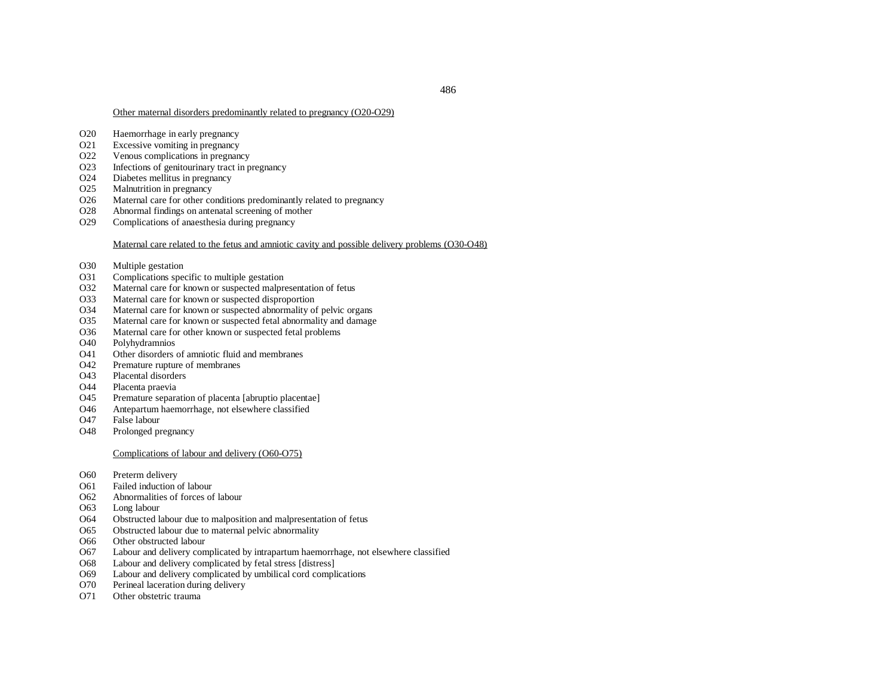#### Other maternal disorders predominantly related to pregnancy (O20-O29)

- O20 Haemorrhage in early pregnancy
- O21 Excessive vomiting in pregnancy
- O22 Venous complications in pregnancy
- O23 Infections of genitourinary tract in pregnancy
- O24Diabetes mellitus in pregnancy
- O25Malnutrition in pregnancy
- O26Maternal care for other conditions predominantly related to pregnancy
- O28Abnormal findings on antenatal screening of mother
- O29Complications of anaesthesia during pregnancy

## Maternal care related to the fetus and amniotic cavity and possible delivery problems (O30-O48)

- O30Multiple gestation
- O31Complications specific to multiple gestation
- O32Maternal care for known or suspected malpresentation of fetus
- O33Maternal care for known or suspected disproportion
- O34Maternal care for known or suspected abnormality of pelvic organs
- O35Maternal care for known or suspected fetal abnormality and damage
- O36Maternal care for other known or suspected fetal problems
- O40Polyhydramnios
- O41Other disorders of amniotic fluid and membranes
- $O<sub>42</sub>$ Premature rupture of membranes
- O43Placental disorders
- O44Placenta praevia
- O45Premature separation of placenta [abruptio placentae]
- O46Antepartum haemorrhage, not elsewhere classified
- O47False labour
- O48Prolonged pregnancy

## Complications of labour and delivery (O60-O75)

- O600 Preterm delivery
- O61Failed induction of labour
- O62 Abnormalities of forces of labour
- O63Long labour
- O64Obstructed labour due to malposition and malpresentation of fetus
- O65Obstructed labour due to maternal pelvic abnormality
- O66Other obstructed labour
- O67Labour and delivery complicated by intrapartum haemorrhage, not elsewhere classified
- O68Labour and delivery complicated by fetal stress [distress]
- O69Labour and delivery complicated by umbilical cord complications
- O70Perineal laceration during delivery
- O71Other obstetric trauma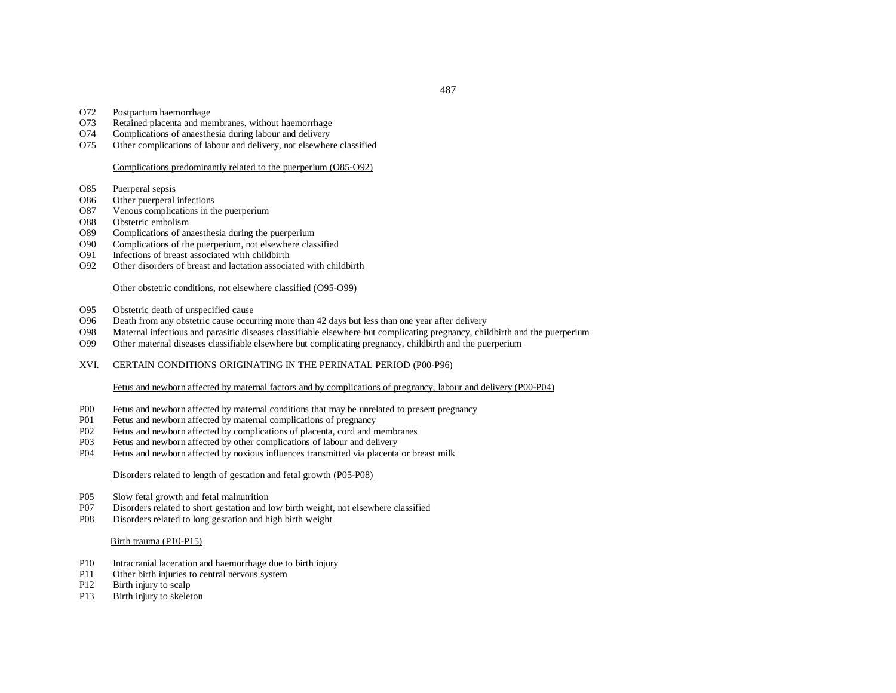- O72Postpartum haemorrhage
- O73Retained placenta and membranes, without haemorrhage
- O74Complications of anaesthesia during labour and delivery
- O75Other complications of labour and delivery, not elsewhere classified

# Complications predominantly related to the puerperium (O85-O92)

- O85Puerperal sepsis
- O86Other puerperal infections
- O87Venous complications in the puerperium
- O88Obstetric embolism
- Complications of anaesthesia during the puerperium O89
- O90Complications of the puerperium, not elsewhere classified
- O91Infections of breast associated with childbirth
- O92Other disorders of breast and lactation associated with childbirth

## Other obstetric conditions, not elsewhere classified (O95-O99)

- O95Obstetric death of unspecified cause
- O96Death from any obstetric cause occurring more than 42 days but less than one year after delivery
- O98Maternal infectious and parasitic diseases classifiable elsewhere but complicating pregnancy, childbirth and the puerperium
- O99Other maternal diseases classifiable elsewhere but complicating pregnancy, childbirth and the puerperium
- XVI. CERTAIN CONDITIONS ORIGINATING IN THE PERINATAL PERIOD (P00-P96)

# Fetus and newborn affected by maternal factors and by complications of pregnancy, labour and delivery (P00-P04)

- P00Fetus and newborn affected by maternal conditions that may be unrelated to present pregnancy
- P01Fetus and newborn affected by maternal complications of pregnancy
- P02Fetus and newborn affected by complications of placenta, cord and membranes
- P03Fetus and newborn affected by other complications of labour and delivery
- P04Fetus and newborn affected by noxious influences transmitted via placenta or breast milk

## Disorders related to length of gestation and fetal growth (P05-P08)

- P05Slow fetal growth and fetal malnutrition
- P07Disorders related to short gestation and low birth weight, not elsewhere classified
- P08Disorders related to long gestation and high birth weight

## Birth trauma (P10-P15)

- P10Intracranial laceration and haemorrhage due to birth injury
- P11Other birth injuries to central nervous system
- P12Birth injury to scalp
- P13Birth injury to skeleton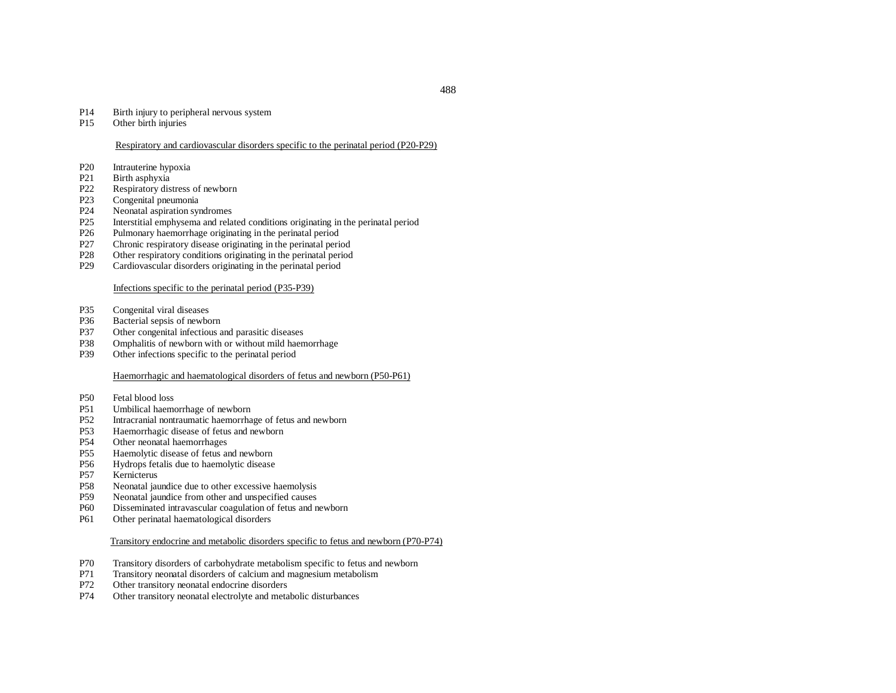#### P14Birth injury to peripheral nervous system

P15Other birth injuries

# Respiratory and cardiovascular disorders specific to the perinatal period (P20-P29)

- P20Intrauterine hypoxia
- P21Birth asphyxia
- P22Respiratory distress of newborn
- P23Congenital pneumonia
- P24Neonatal aspiration syndromes
- P25Interstitial emphysema and related conditions originating in the perinatal period
- P26Pulmonary haemorrhage originating in the perinatal period
- P27Chronic respiratory disease originating in the perinatal period
- P28Other respiratory conditions originating in the perinatal period
- P29Cardiovascular disorders originating in the perinatal period

## Infections specific to the perinatal period (P35-P39)

- P35Congenital viral diseases
- P36Bacterial sepsis of newborn
- P37Other congenital infectious and parasitic diseases
- P38Omphalitis of newborn with or without mild haemorrhage
- P39Other infections specific to the perinatal period

# Haemorrhagic and haematological disorders of fetus and newborn (P50-P61)

- P50Fetal blood loss
- P51Umbilical haemorrhage of newborn
- P52Intracranial nontraumatic haemorrhage of fetus and newborn
- P53Haemorrhagic disease of fetus and newborn
- P54Other neonatal haemorrhages
- P55Haemolytic disease of fetus and newborn
- P56Hydrops fetalis due to haemolytic disease
- P57Kernicterus
- P58Neonatal jaundice due to other excessive haemolysis
- P59Neonatal jaundice from other and unspecified causes
- P60Disseminated intravascular coagulation of fetus and newborn
- P61Other perinatal haematological disorders

## Transitory endocrine and metabolic disorders specific to fetus and newborn (P70-P74)

- P70Transitory disorders of carbohydrate metabolism specific to fetus and newborn
- P71Transitory neonatal disorders of calcium and magnesium metabolism
- P72Other transitory neonatal endocrine disorders
- P74Other transitory neonatal electrolyte and metabolic disturbances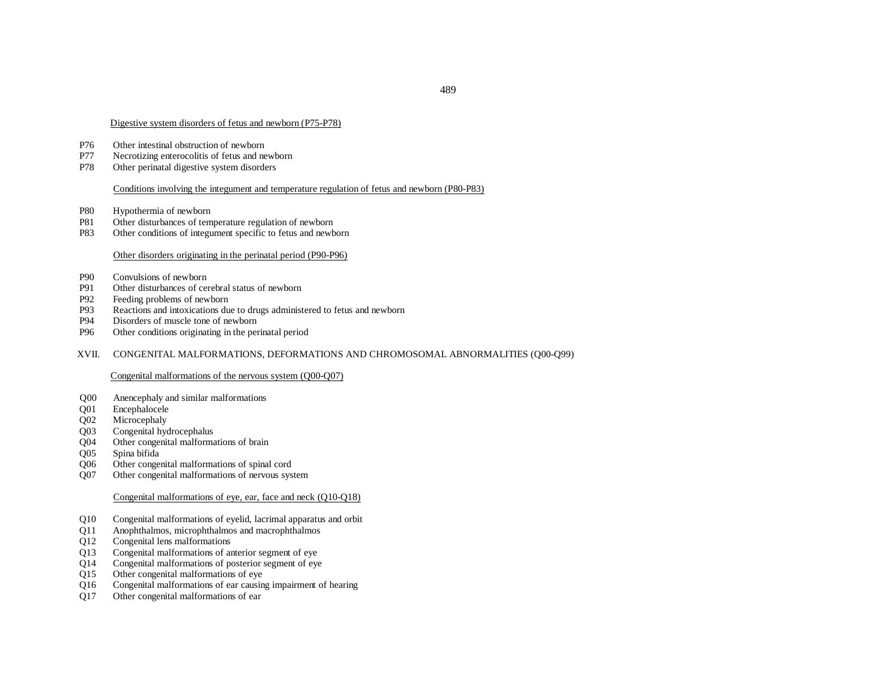#### Digestive system disorders of fetus and newborn (P75-P78)

- P76Other intestinal obstruction of newborn
- P77Necrotizing enterocolitis of fetus and newborn
- P78Other perinatal digestive system disorders

### Conditions involving the integument and temperature regulation of fetus and newborn (P80-P83)

- P80Hypothermia of newborn
- P81Other disturbances of temperature regulation of newborn
- P83Other conditions of integument specific to fetus and newborn

### Other disorders originating in the perinatal period (P90-P96)

- P90Convulsions of newborn
- P91Other disturbances of cerebral status of newborn
- P92Feeding problems of newborn
- P93Reactions and intoxications due to drugs administered to fetus and newborn
- P94Disorders of muscle tone of newborn
- P96Other conditions originating in the perinatal period

#### XVII. CONGENITAL MALFORMATIONS, DEFORMATIONS AND CHROMOSOMAL ABNORMALITIES (Q00-Q99)

#### Congenital malformations of the nervous system (Q00-Q07)

- Q00 Anencephaly and similar malformations
- Q01 Encephalocele
- Q02 Microcephaly
- Q03 Congenital hydrocephalus
- Q04 Other congenital malformations of brain
- Q05 Spina bifida
- Q06 Other congenital malformations of spinal cord
- Q07 Other congenital malformations of nervous system

# Congenital malformations of eye, ear, face and neck (Q10-Q18)

- Q10 Congenital malformations of eyelid, lacrimal apparatus and orbit
- Q11 Anophthalmos, microphthalmos and macrophthalmos
- Q12 Congenital lens malformations
- Q13 Congenital malformations of anterior segment of eye
- Q14 Congenital malformations of posterior segment of eye
- Q15 Other congenital malformations of eye<br>O16 Congenital malformations of ear causing
- Congenital malformations of ear causing impairment of hearing
- Q17 Other congenital malformations of ear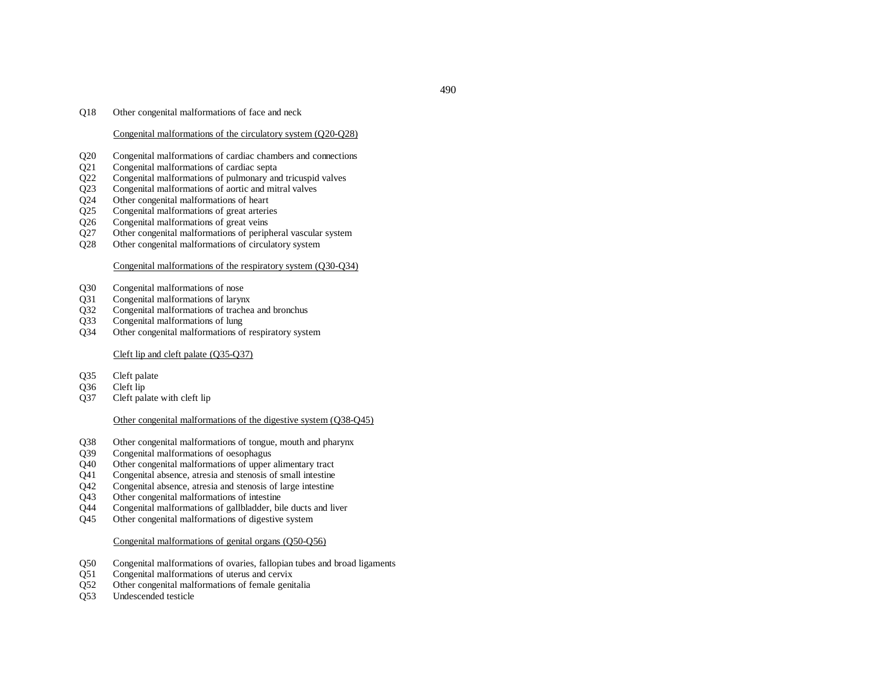## Congenital malformations of the circulatory system (Q20-Q28)

- Q20 Congenital malformations of cardiac chambers and connections<br>Q21 Congenital malformations of cardiac septa
- Congenital malformations of cardiac septa
- Q22 Congenital malformations of pulmonary and tricuspid valves
- Q23 Congenital malformations of aortic and mitral valves
- Q24 Other congenital malformations of heart<br>Q25 Congenital malformations of great arteries
- Congenital malformations of great arteries
- Q26 Congenital malformations of great veins<br>Q27 Other congenital malformations of peripl
- Other congenital malformations of peripheral vascular system
- Q28 Other congenital malformations of circulatory system

## Congenital malformations of the respiratory system (Q30-Q34)

- Q30 Congenital malformations of nose
- Q31 Congenital malformations of larynx
- Q32 Congenital malformations of trachea and bronchus
- Q33 Congenital malformations of lung
- Q34 Other congenital malformations of respiratory system

# Cleft lip and cleft palate (Q35-Q37)

- Q35 Cleft palate<br>Q36 Cleft lip
- Q36 Cleft lip<br>O37 Cleft pala
- Cleft palate with cleft lip

## Other congenital malformations of the digestive system (Q38-Q45)

- Q38 Other congenital malformations of tongue, mouth and pharynx
- Q39 Congenital malformations of oesophagus
- Q40 Other congenital malformations of upper alimentary tract
- Q41 Congenital absence, atresia and stenosis of small intestine
- Q42 Congenital absence, atresia and stenosis of large intestine
- Q43 Other congenital malformations of intestine
- Q44 Congenital malformations of gallbladder, bile ducts and liver
- Q45 Other congenital malformations of digestive system

## Congenital malformations of genital organs (Q50-Q56)

- Q50 Congenital malformations of ovaries, fallopian tubes and broad ligaments
- Q51 Congenital malformations of uterus and cervix<br>O52 Other congenital malformations of female genit
- Other congenital malformations of female genitalia
- Q53 Undescended testicle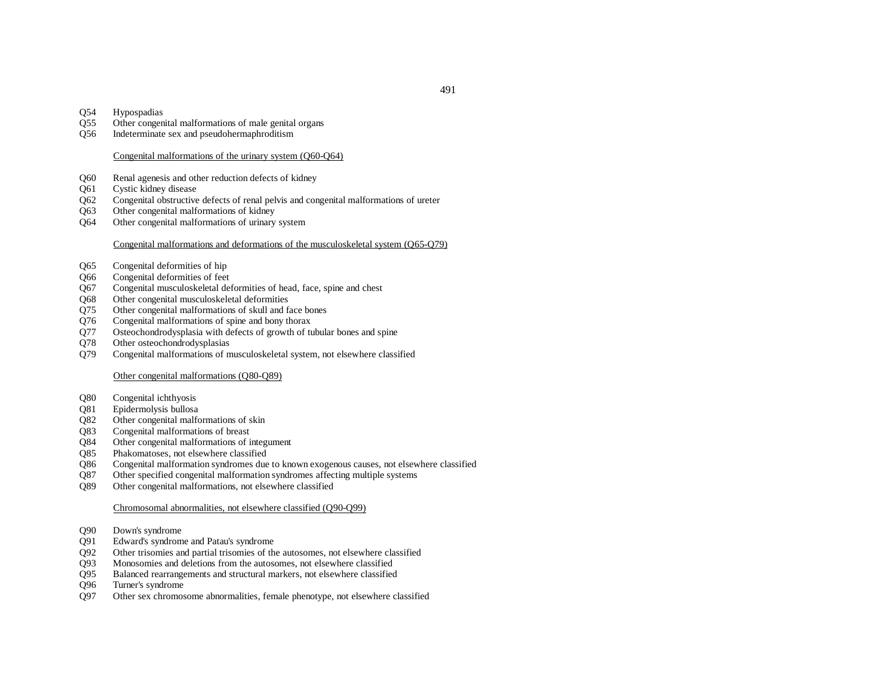## Q54 Hypospadias

- Q55 Other congenital malformations of male genital organs
- Q56 Indeterminate sex and pseudohermaphroditism

## Congenital malformations of the urinary system (Q60-Q64)

- Q60 Renal agenesis and other reduction defects of kidney
- Q61 Cystic kidney disease
- Q62 Congenital obstructive defects of renal pelvis and congenital malformations of ureter
- Q63 Other congenital malformations of kidney
- Q64 Other congenital malformations of urinary system

# Congenital malformations and deformations of the musculoskeletal system (Q65-Q79)

- Q65 Congenital deformities of hip
- Q66 Congenital deformities of feet
- Q67 Congenital musculoskeletal deformities of head, face, spine and chest
- Q68 Other congenital musculoskeletal deformities
- Q75 Other congenital malformations of skull and face bones
- Q76 Congenital malformations of spine and bony thorax
- Q77 Osteochondrodysplasia with defects of growth of tubular bones and spine
- Q78 Other osteochondrodysplasias
- Q79 Congenital malformations of musculoskeletal system, not elsewhere classified

## Other congenital malformations (Q80-Q89)

- Q80 Congenital ichthyosis
- Q81 Epidermolysis bullosa
- Q82 Other congenital malformations of skin
- Q83 Congenital malformations of breast
- Q84 Other congenital malformations of integument
- Q85 Phakomatoses, not elsewhere classified
- Q86 Congenital malformation syndromes due to known exogenous causes, not elsewhere classified
- Q87 Other specified congenital malformation syndromes affecting multiple systems
- Q89 Other congenital malformations, not elsewhere classified

## Chromosomal abnormalities, not elsewhere classified (Q90-Q99)

- Q90 Down's syndrome
- Q91 Edward's syndrome and Patau's syndrome
- Q92 Other trisomies and partial trisomies of the autosomes, not elsewhere classified
- Q93 Monosomies and deletions from the autosomes, not elsewhere classified
- Q95 Balanced rearrangements and structural markers, not elsewhere classified Q96 Turner's syndrome
- Turner's syndrome
- Q97 Other sex chromosome abnormalities, female phenotype, not elsewhere classified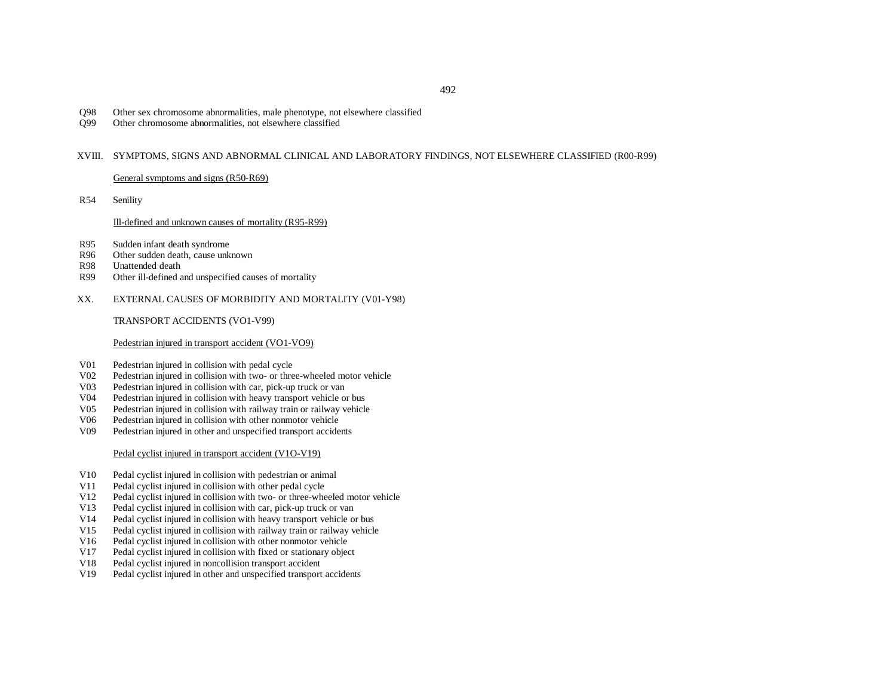- Q98 Other sex chromosome abnormalities, male phenotype, not elsewhere classified
- Q99 Other chromosome abnormalities, not elsewhere classified

#### XVIII. SYMPTOMS, SIGNS AND ABNORMAL CLINICAL AND LABORATORY FINDINGS, NOT ELSEWHERE CLASSIFIED (R00-R99)

General symptoms and signs (R50-R69)

R54Senility

## Ill-defined and unknown causes of mortality (R95-R99)

- R95Sudden infant death syndrome
- R96Other sudden death, cause unknown
- R98Unattended death
- R99Other ill-defined and unspecified causes of mortality
- XX.EXTERNAL CAUSES OF MORBIDITY AND MORTALITY (V01-Y98)

TRANSPORT ACCIDENTS (VO1-V99)

## Pedestrian injured in transport accident (VO1-VO9)

- V01Pedestrian injured in collision with pedal cycle
- V02Pedestrian injured in collision with two- or three-wheeled motor vehicle
- V03Pedestrian injured in collision with car, pick-up truck or van
- V04Pedestrian injured in collision with heavy transport vehicle or bus
- V05Pedestrian injured in collision with railway train or railway vehicle
- V06Pedestrian injured in collision with other nonmotor vehicle
- V09Pedestrian injured in other and unspecified transport accidents

## Pedal cyclist injured in transport accident (V1O-V19)

- V10Pedal cyclist injured in collision with pedestrian or animal
- V11Pedal cyclist injured in collision with other pedal cycle
- V12Pedal cyclist injured in collision with two- or three-wheeled motor vehicle
- V13Pedal cyclist injured in collision with car, pick-up truck or van
- V14Pedal cyclist injured in collision with heavy transport vehicle or bus
- V15Pedal cyclist injured in collision with railway train or railway vehicle
- V16Pedal cyclist injured in collision with other nonmotor vehicle
- V17Pedal cyclist injured in collision with fixed or stationary object
- V18Pedal cyclist injured in noncollision transport accident
- V19Pedal cyclist injured in other and unspecified transport accidents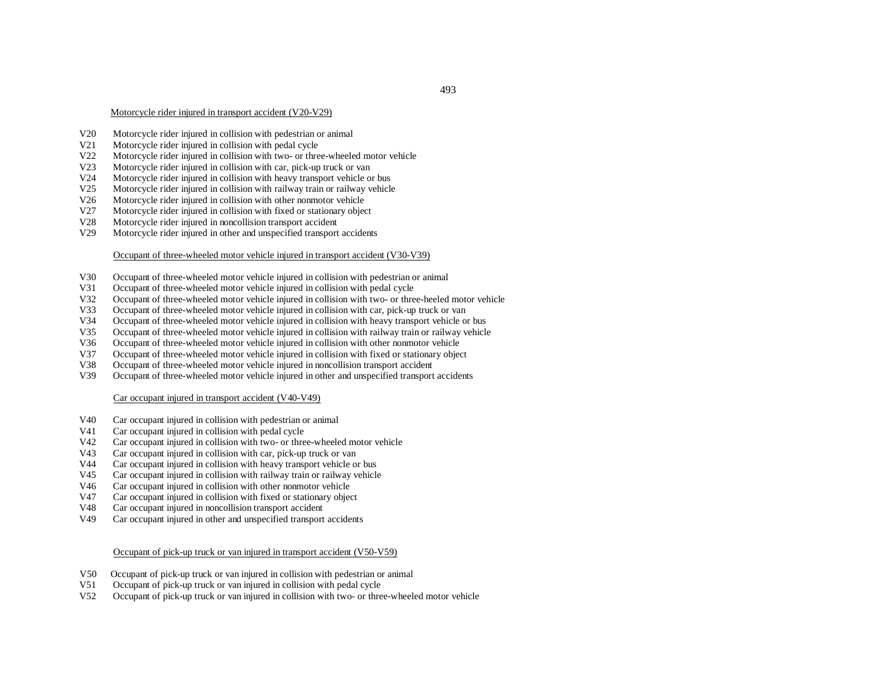# Motorcycle rider injured in transport accident (V20-V29)

- V20Motorcycle rider injured in collision with pedestrian or animal
- V21Motorcycle rider injured in collision with pedal cycle
- V22Motorcycle rider injured in collision with two- or three-wheeled motor vehicle
- V23Motorcycle rider injured in collision with car, pick-up truck or van
- V24Motorcycle rider injured in collision with heavy transport vehicle or bus
- V25Motorcycle rider injured in collision with railway train or railway vehicle
- V26Motorcycle rider injured in collision with other nonmotor vehicle
- V27Motorcycle rider injured in collision with fixed or stationary object
- V28Motorcycle rider injured in noncollision transport accident
- V29Motorcycle rider injured in other and unspecified transport accidents

# Occupant of three-wheeled motor vehicle injured in transport accident (V30-V39)

- V30Occupant of three-wheeled motor vehicle injured in collision with pedestrian or animal
- V31Occupant of three-wheeled motor vehicle injured in collision with pedal cycle
- V32Occupant of three-wheeled motor vehicle injured in collision with two- or three-heeled motor vehicle
- V33Occupant of three-wheeled motor vehicle injured in collision with car, pick-up truck or van
- V34Occupant of three-wheeled motor vehicle injured in collision with heavy transport vehicle or bus
- V35Occupant of three-wheeled motor vehicle injured in collision with railway train or railway vehicle
- V36Occupant of three-wheeled motor vehicle injured in collision with other nonmotor vehicle
- V37Occupant of three-wheeled motor vehicle injured in collision with fixed or stationary object
- V38Occupant of three-wheeled motor vehicle injured in noncollision transport accident
- V39Occupant of three-wheeled motor vehicle injured in other and unspecified transport accidents

# Car occupant injured in transport accident (V40-V49)

- V40Car occupant injured in collision with pedestrian or animal
- V41Car occupant injured in collision with pedal cycle
- V42Car occupant injured in collision with two- or three-wheeled motor vehicle
- V43Car occupant injured in collision with car, pick-up truck or van
- V44Car occupant injured in collision with heavy transport vehicle or bus
- V45Car occupant injured in collision with railway train or railway vehicle
- V46Car occupant injured in collision with other nonmotor vehicle
- V47Car occupant injured in collision with fixed or stationary object
- V48Car occupant injured in noncollision transport accident
- V49Car occupant injured in other and unspecified transport accidents

## Occupant of pick-up truck or van injured in transport accident (V50-V59)

- V50Occupant of pick-up truck or van injured in collision with pedestrian or animal
- V51Occupant of pick-up truck or van injured in collision with pedal cycle
- V52Occupant of pick-up truck or van injured in collision with two- or three-wheeled motor vehicle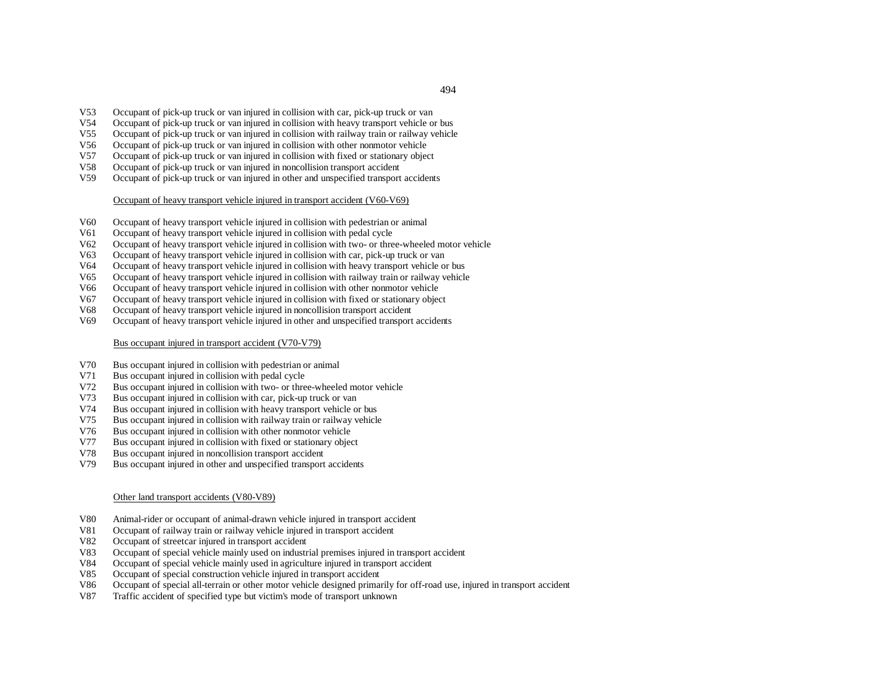- V53Occupant of pick-up truck or van injured in collision with car, pick-up truck or van
- V54Occupant of pick-up truck or van injured in collision with heavy transport vehicle or bus
- V55Occupant of pick-up truck or van injured in collision with railway train or railway vehicle
- V56Occupant of pick-up truck or van injured in collision with other nonmotor vehicle
- V57Occupant of pick-up truck or van injured in collision with fixed or stationary object
- V58Occupant of pick-up truck or van injured in noncollision transport accident
- V59Occupant of pick-up truck or van injured in other and unspecified transport accidents

Occupant of heavy transport vehicle injured in transport accident (V60-V69)

- V60Occupant of heavy transport vehicle injured in collision with pedestrian or animal
- V61Occupant of heavy transport vehicle injured in collision with pedal cycle
- V62Occupant of heavy transport vehicle injured in collision with two- or three-wheeled motor vehicle
- V63Occupant of heavy transport vehicle injured in collision with car, pick-up truck or van
- V64Occupant of heavy transport vehicle injured in collision with heavy transport vehicle or bus
- V65Occupant of heavy transport vehicle injured in collision with railway train or railway vehicle
- V66Occupant of heavy transport vehicle injured in collision with other nonmotor vehicle
- V67Occupant of heavy transport vehicle injured in collision with fixed or stationary object
- V68Occupant of heavy transport vehicle injured in noncollision transport accident
- V69Occupant of heavy transport vehicle injured in other and unspecified transport accidents

Bus occupant injured in transport accident (V70-V79)

- V70Bus occupant injured in collision with pedestrian or animal
- V71Bus occupant injured in collision with pedal cycle
- V72Bus occupant injured in collision with two- or three-wheeled motor vehicle
- V73Bus occupant injured in collision with car, pick-up truck or van
- V74Bus occupant injured in collision with heavy transport vehicle or bus
- V75Bus occupant injured in collision with railway train or railway vehicle
- V76Bus occupant injured in collision with other nonmotor vehicle
- V77Bus occupant injured in collision with fixed or stationary object
- V78Bus occupant injured in noncollision transport accident
- V79Bus occupant injured in other and unspecified transport accidents

#### Other land transport accidents (V80-V89)

- V80Animal-rider or occupant of animal-drawn vehicle injured in transport accident
- V81Occupant of railway train or railway vehicle injured in transport accident
- V82Occupant of streetcar injured in transport accident
- V83Occupant of special vehicle mainly used on industrial premises injured in transport accident
- V84Occupant of special vehicle mainly used in agriculture injured in transport accident
- V85Occupant of special construction vehicle injured in transport accident
- V86Occupant of special all-terrain or other motor vehicle designed primarily for off-road use, injured in transport accident
- V87Traffic accident of specified type but victim's mode of transport unknown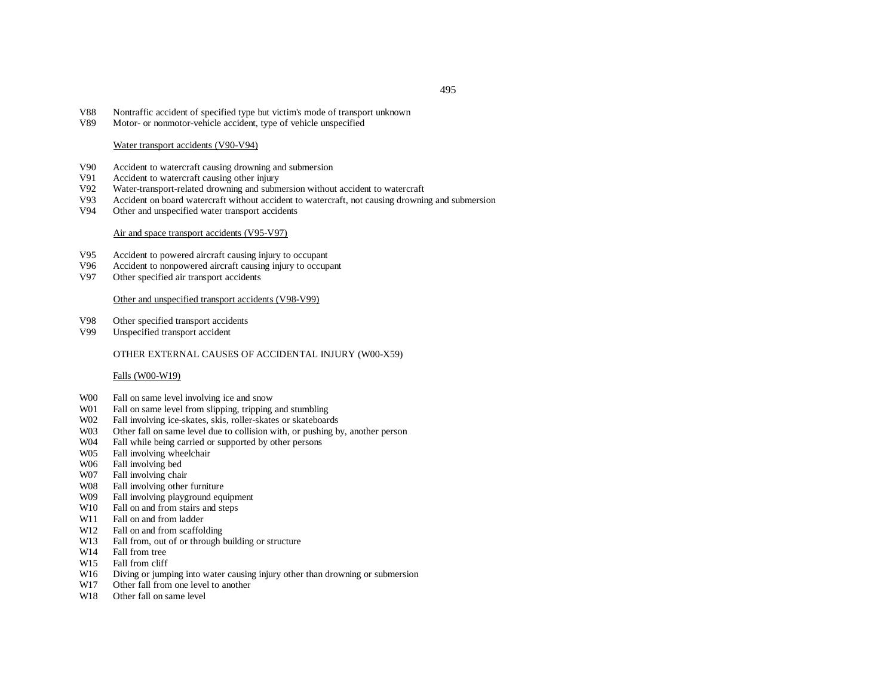- V88Nontraffic accident of specified type but victim's mode of transport unknown
- V89Motor- or nonmotor-vehicle accident, type of vehicle unspecified

#### Water transport accidents (V90-V94)

- V90Accident to watercraft causing drowning and submersion
- V91Accident to watercraft causing other injury
- V92Water-transport-related drowning and submersion without accident to watercraft
- V93Accident on board watercraft without accident to watercraft, not causing drowning and submersion
- V94Other and unspecified water transport accidents

#### Air and space transport accidents (V95-V97)

- V95Accident to powered aircraft causing injury to occupant
- V96Accident to nonpowered aircraft causing injury to occupant
- V97Other specified air transport accidents

## Other and unspecified transport accidents (V98-V99)

- V98Other specified transport accidents
- V99Unspecified transport accident

### OTHER EXTERNAL CAUSES OF ACCIDENTAL INJURY (W00-X59)

#### Falls (W00-W19)

- W00 Fall on same level involving ice and snow
- W01 Fall on same level from slipping, tripping and stumbling
- W02 Fall involving ice-skates, skis, roller-skates or skateboards
- W03 Other fall on same level due to collision with, or pushing by, another person
- W04 Fall while being carried or supported by other persons
- W05Fall involving wheelchair
- W06 Fall involving bed
- W07Fall involving chair
- W08 Fall involving other furniture
- W09 Fall involving playground equipment
- W10 Fall on and from stairs and steps
- W11 Fall on and from ladder
- W12 Fall on and from scaffolding
- W13 Fall from, out of or through building or structure
- W14 Fall from tree
- W15Fall from cliff
- W16Diving or jumping into water causing injury other than drowning or submersion
- W17Other fall from one level to another
- W18 Other fall on same level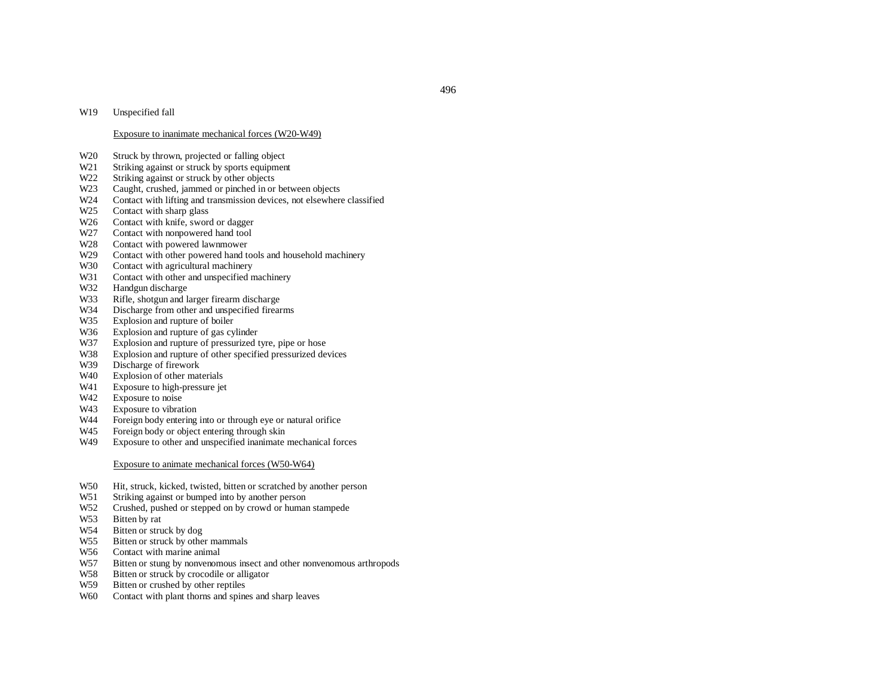#### W19Unspecified fall

## Exposure to inanimate mechanical forces (W20-W49)

- W20Struck by thrown, projected or falling object
- W21Striking against or struck by sports equipment
- W22Striking against or struck by other objects
- W23Caught, crushed, jammed or pinched in or between objects
- W24Contact with lifting and transmission devices, not elsewhere classified
- W25Contact with sharp glass
- W26Contact with knife, sword or dagger
- W27Contact with nonpowered hand tool
- W28Contact with powered lawnmower
- W29Contact with other powered hand tools and household machinery
- W30 Contact with agricultural machinery
- W31Contact with other and unspecified machinery
- W32Handgun discharge
- W33Rifle, shotgun and larger firearm discharge
- W34Discharge from other and unspecified firearms
- W35Explosion and rupture of boiler
- W36Explosion and rupture of gas cylinder
- W37Explosion and rupture of pressurized tyre, pipe or hose
- W38Explosion and rupture of other specified pressurized devices
- W39Discharge of firework
- W40Explosion of other materials
- W41Exposure to high-pressure jet
- W42Exposure to noise
- W43Exposure to vibration
- W44Foreign body entering into or through eye or natural orifice
- W45Foreign body or object entering through skin
- W49Exposure to other and unspecified inanimate mechanical forces

#### Exposure to animate mechanical forces (W50-W64)

- W50Hit, struck, kicked, twisted, bitten or scratched by another person
- W51Striking against or bumped into by another person
- W52 Crushed, pushed or stepped on by crowd or human stampede
- W53 Bitten by rat
- W54Bitten or struck by dog
- W55 Bitten or struck by other mammals
- W56 Contact with marine animal
- W57Bitten or stung by nonvenomous insect and other nonvenomous arthropods
- W58Bitten or struck by crocodile or alligator
- W59 Bitten or crushed by other reptiles
- W60 Contact with plant thorns and spines and sharp leaves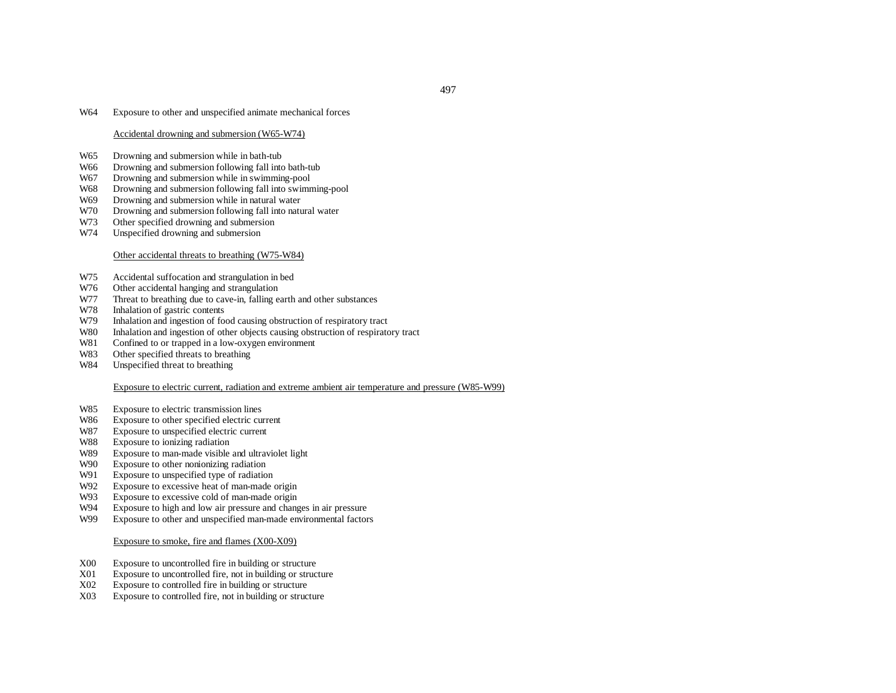#### W64Exposure to other and unspecified animate mechanical forces

## Accidental drowning and submersion (W65-W74)

- W65Drowning and submersion while in bath-tub
- W66Drowning and submersion following fall into bath-tub
- W67Drowning and submersion while in swimming-pool
- W68Drowning and submersion following fall into swimming-pool
- W69Drowning and submersion while in natural water
- W70Drowning and submersion following fall into natural water
- W73Other specified drowning and submersion
- W74Unspecified drowning and submersion

## Other accidental threats to breathing (W75-W84)

- W75Accidental suffocation and strangulation in bed
- W76Other accidental hanging and strangulation
- W77Threat to breathing due to cave-in, falling earth and other substances
- W78Inhalation of gastric contents
- W79Inhalation and ingestion of food causing obstruction of respiratory tract
- W80Inhalation and ingestion of other objects causing obstruction of respiratory tract
- W81Confined to or trapped in <sup>a</sup> low-oxygen environment
- W83Other specified threats to breathing
- W84Unspecified threat to breathing

#### Exposure to electric current, radiation and extreme ambient air temperature and pressure (W85-W99)

- W85Exposure to electric transmission lines
- W86Exposure to other specified electric current
- W87Exposure to unspecified electric current
- W88Exposure to ionizing radiation
- W89Exposure to man-made visible and ultraviolet light
- W90Exposure to other nonionizing radiation
- W91Exposure to unspecified type of radiation
- W92Exposure to excessive heat of man-made origin
- W93Exposure to excessive cold of man-made origin
- W94Exposure to high and low air pressure and changes in air pressure
- W99Exposure to other and unspecified man-made environmental factors

#### Exposure to smoke, fire and flames (X00-X09)

- X00Exposure to uncontrolled fire in building or structure
- X01Exposure to uncontrolled fire, not in building or structure
- X02Exposure to controlled fire in building or structure
- X03Exposure to controlled fire, not in building or structure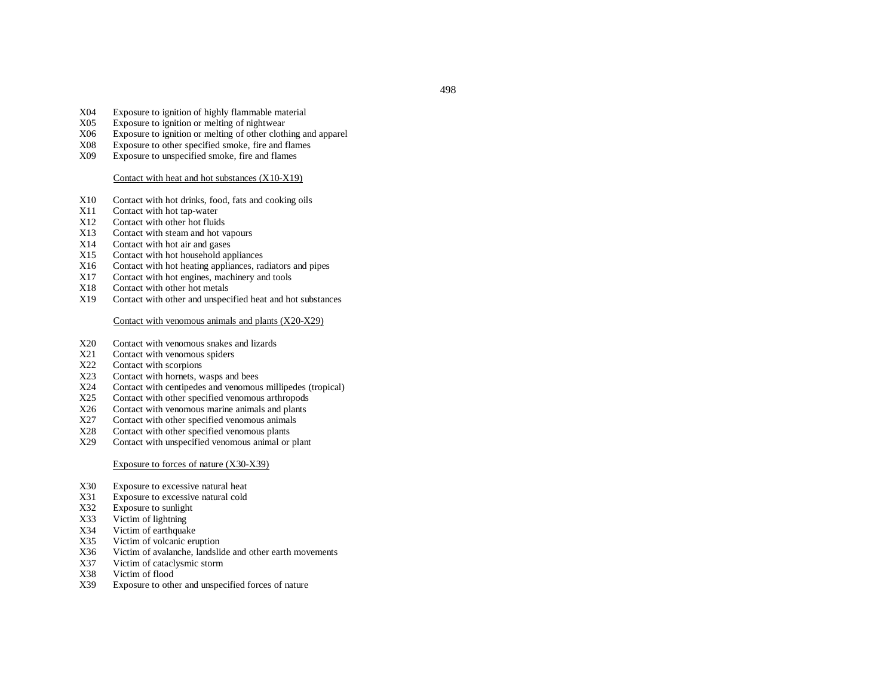- X04Exposure to ignition of highly flammable material
- X05Exposure to ignition or melting of nightwear
- X06Exposure to ignition or melting of other clothing and apparel
- X08Exposure to other specified smoke, fire and flames
- X09Exposure to unspecified smoke, fire and flames

#### Contact with heat and hot substances (X10-X19)

- X10Contact with hot drinks, food, fats and cooking oils
- X11Contact with hot tap-water
- X12Contact with other hot fluids
- X13Contact with steam and hot vapours
- X14Contact with hot air and gases
- X15Contact with hot household appliances
- X16Contact with hot heating appliances, radiators and pipes
- X17Contact with hot engines, machinery and tools
- X18Contact with other hot metals
- X19Contact with other and unspecified heat and hot substances

#### Contact with venomous animals and plants (X20-X29)

- X20Contact with venomous snakes and lizards
- X21Contact with venomous spiders
- X22Contact with scorpions
- X23Contact with hornets, wasps and bees
- X24Contact with centipedes and venomous millipedes (tropical)
- X25Contact with other specified venomous arthropods
- X26Contact with venomous marine animals and plants
- X27Contact with other specified venomous animals
- X28Contact with other specified venomous plants
- X29Contact with unspecified venomous animal or plant

## Exposure to forces of nature (X30-X39)

- X30Exposure to excessive natural heat
- X31Exposure to excessive natural cold
- X32Exposure to sunlight
- X33Victim of lightning
- X34Victim of earthquake
- X35Victim of volcanic eruption
- X36Victim of avalanche, landslide and other earth movements
- X37Victim of cataclysmic storm
- X38Victim of flood
- X39Exposure to other and unspecified forces of nature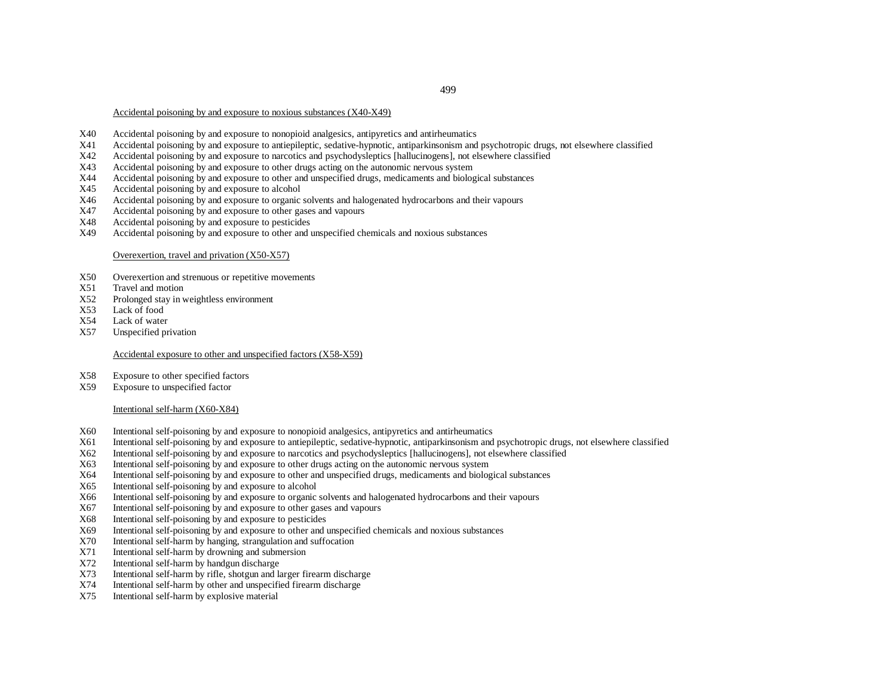# 499

Accidental poisoning by and exposure to noxious substances (X40-X49)

- X40Accidental poisoning by and exposure to nonopioid analgesics, antipyretics and antirheumatics
- X41Accidental poisoning by and exposure to antiepileptic, sedative-hypnotic, antiparkinsonism and psychotropic drugs, not elsewhere classified
- X42Accidental poisoning by and exposure to narcotics and psychodysleptics [hallucinogens], not elsewhere classified
- X43Accidental poisoning by and exposure to other drugs acting on the autonomic nervous system
- X44Accidental poisoning by and exposure to other and unspecified drugs, medicaments and biological substances
- X45Accidental poisoning by and exposure to alcohol
- X46Accidental poisoning by and exposure to organic solvents and halogenated hydrocarbons and their vapours
- X47Accidental poisoning by and exposure to other gases and vapours
- X48Accidental poisoning by and exposure to pesticides
- X49Accidental poisoning by and exposure to other and unspecified chemicals and noxious substances

#### Overexertion, travel and privation (X50-X57)

- X50Overexertion and strenuous or repetitive movements
- X51Travel and motion
- X52Prolonged stay in weightless environment
- X53Lack of food
- X54Lack of water
- X57Unspecified privation

# Accidental exposure to other and unspecified factors (X58-X59)

- X58Exposure to other specified factors
- X59Exposure to unspecified factor

## Intentional self-harm (X60-X84)

- X60Intentional self-poisoning by and exposure to nonopioid analgesics, antipyretics and antirheumatics
- X61Intentional self-poisoning by and exposure to antiepileptic, sedative-hypnotic, antiparkinsonism and psychotropic drugs, not elsewhere classified
- X62Intentional self-poisoning by and exposure to narcotics and psychodysleptics [hallucinogens], not elsewhere classified
- X63Intentional self-poisoning by and exposure to other drugs acting on the autonomic nervous system
- X64Intentional self-poisoning by and exposure to other and unspecified drugs, medicaments and biological substances
- X65Intentional self-poisoning by and exposure to alcohol
- X66Intentional self-poisoning by and exposure to organic solvents and halogenated hydrocarbons and their vapours
- X67Intentional self-poisoning by and exposure to other gases and vapours
- X68Intentional self-poisoning by and exposure to pesticides
- X69Intentional self-poisoning by and exposure to other and unspecified chemicals and noxious substances
- X70Intentional self-harm by hanging, strangulation and suffocation
- X71Intentional self-harm by drowning and submersion
- X72Intentional self-harm by handgun discharge
- X73Intentional self-harm by rifle, shotgun and larger firearm discharge
- X74Intentional self-harm by other and unspecified firearm discharge
- X75Intentional self-harm by explosive material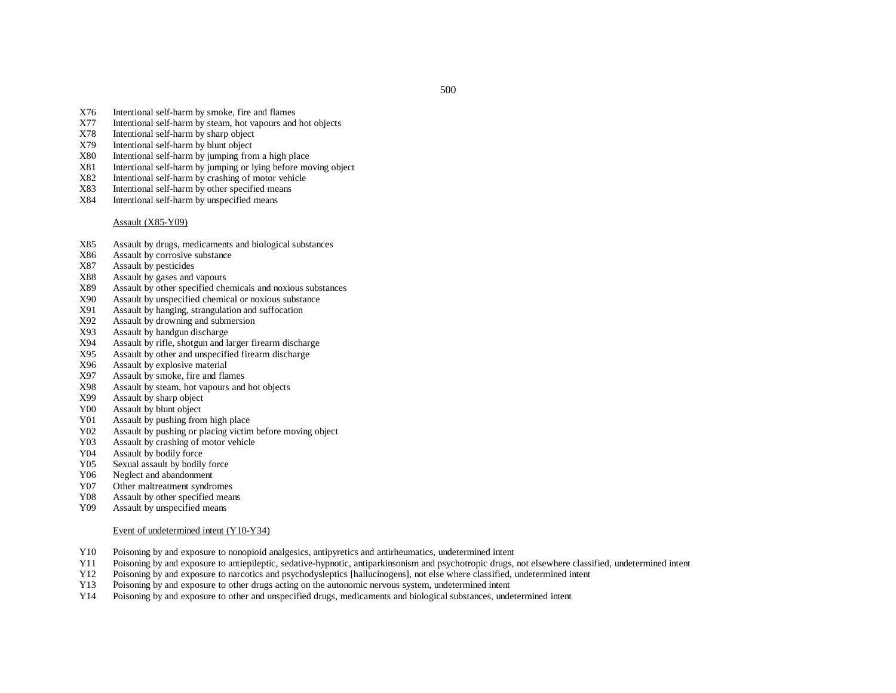- X76Intentional self-harm by smoke, fire and flames
- X77Intentional self-harm by steam, hot vapours and hot objects
- X788 Intentional self-harm by sharp object
- X799 Intentional self-harm by blunt object
- X800 Intentional self-harm by jumping from a high place
- X81Intentional self-harm by jumping or lying before moving object
- X822 Intentional self-harm by crashing of motor vehicle
- X83Intentional self-harm by other specified means
- X84Intentional self-harm by unspecified means

Assault (X85-Y09)

- X85Assault by drugs, medicaments and biological substances
- X86Assault by corrosive substance
- X87Assault by pesticides
- X88Assault by gases and vapours
- X89Assault by other specified chemicals and noxious substances
- X90Assault by unspecified chemical or noxious substance
- X91Assault by hanging, strangulation and suffocation
- X92Assault by drowning and submersion
- X93Assault by handgun discharge
- X94Assault by rifle, shotgun and larger firearm discharge
- X95Assault by other and unspecified firearm discharge
- X96Assault by explosive material
- X97Assault by smoke, fire and flames
- X98Assault by steam, hot vapours and hot objects
- X99Assault by sharp object
- Y00Assault by blunt object
- Y01Assault by pushing from high place
- Y02Assault by pushing or placing victim before moving object
- Y03Assault by crashing of motor vehicle
- Y04Assault by bodily force
- Y05Sexual assault by bodily force
- Y06Neglect and abandonment
- Y07Other maltreatment syndromes
- Y08Assault by other specified means
- Y09Assault by unspecified means

#### Event of undetermined intent (Y10-Y34)

- Y10Poisoning by and exposure to nonopioid analgesics, antipyretics and antirheumatics, undetermined intent
- Y11Poisoning by and exposure to antiepileptic, sedative-hypnotic, antiparkinsonism and psychotropic drugs, not elsewhere classified, undetermined intent
- Y12Poisoning by and exposure to narcotics and psychodysleptics [hallucinogens], not else where classified, undetermined intent
- Y13Poisoning by and exposure to other drugs acting on the autonomic nervous system, undetermined intent
- Y14Poisoning by and exposure to other and unspecified drugs, medicaments and biological substances, undetermined intent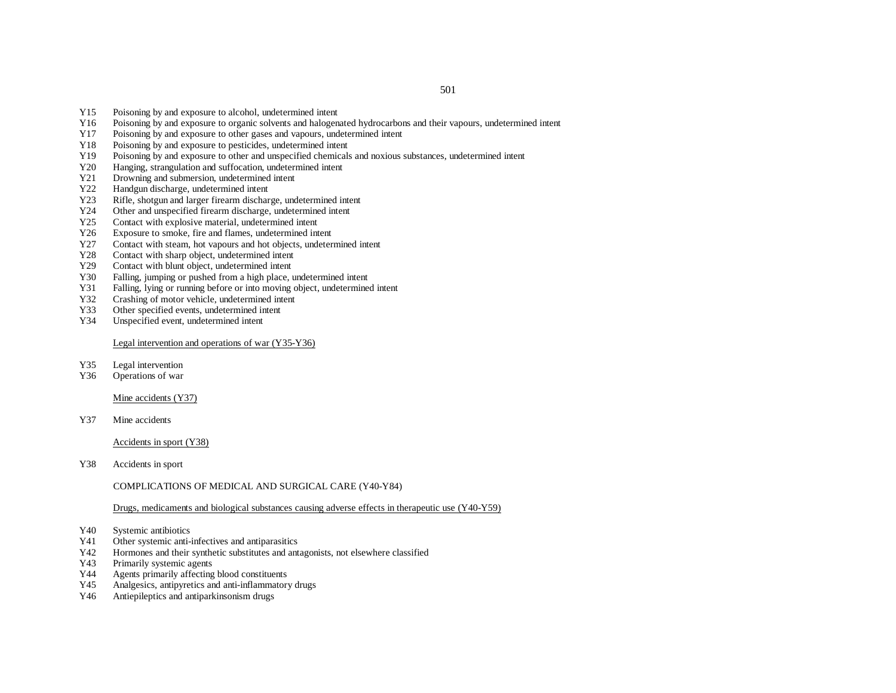- Y15Poisoning by and exposure to alcohol, undetermined intent
- Y16Poisoning by and exposure to organic solvents and halogenated hydrocarbons and their vapours, undetermined intent
- Y17Poisoning by and exposure to other gases and vapours, undetermined intent
- Y18Poisoning by and exposure to pesticides, undetermined intent
- Y19Poisoning by and exposure to other and unspecified chemicals and noxious substances, undetermined intent
- Y20Hanging, strangulation and suffocation, undetermined intent
- Y21Drowning and submersion, undetermined intent
- Y22Handgun discharge, undetermined intent
- Y23Rifle, shotgun and larger firearm discharge, undetermined intent
- Y24Other and unspecified firearm discharge, undetermined intent
- Y25Contact with explosive material, undetermined intent
- Y26Exposure to smoke, fire and flames, undetermined intent
- Y27Contact with steam, hot vapours and hot objects, undetermined intent
- Y28Contact with sharp object, undetermined intent
- Y29Contact with blunt object, undetermined intent
- Y30Falling, jumping or pushed from <sup>a</sup> high place, undetermined intent
- Y31Falling, lying or running before or into moving object, undetermined intent
- Y32Crashing of motor vehicle, undetermined intent
- Y33Other specified events, undetermined intent
- Y34Unspecified event, undetermined intent

Legal intervention and operations of war (Y35-Y36)

- Y35Legal intervention
- Y36Operations of war

Mine accidents (Y37)

Y37Mine accidents

Accidents in spor<sup>t</sup> (Y38)

Y38Accidents in spor<sup>t</sup>

COMPLICATIONS OF MEDICAL AND SURGICAL CARE (Y40-Y84)

Drugs, medicaments and biological substances causing adverse effects in therapeutic use (Y40-Y59)

- Y40Systemic antibiotics
- Y41Other systemic anti-infectives and antiparasitics
- Y42Hormones and their synthetic substitutes and antagonists, not elsewhere classified
- Y43Primarily systemic agents
- Y44Agents primarily affecting blood constituents
- Y45Analgesics, antipyretics and anti-inflammatory drugs
- Y46Antiepileptics and antiparkinsonism drugs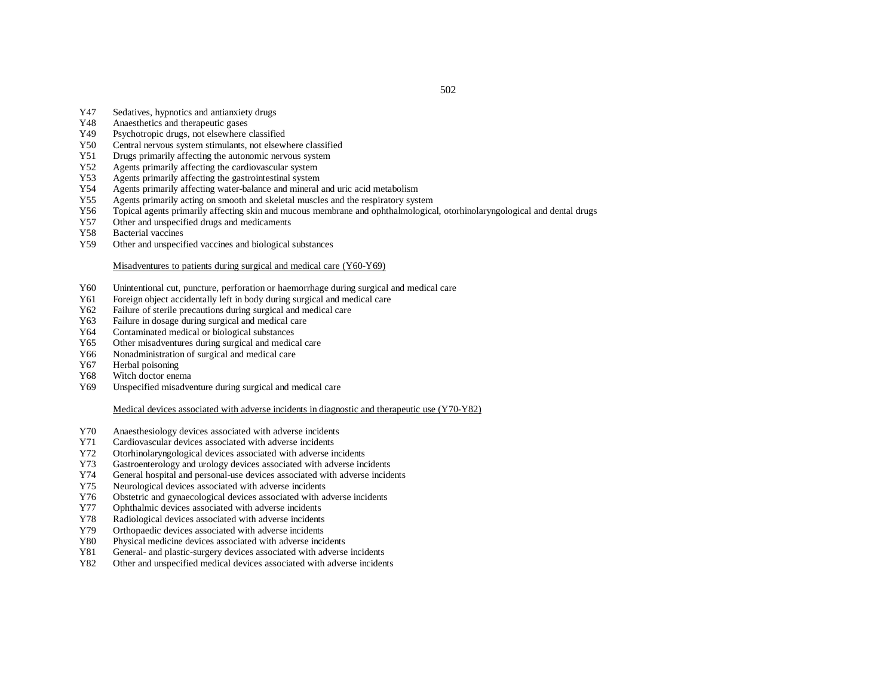- Y47Sedatives, hypnotics and antianxiety drugs
- Y48Anaesthetics and therapeutic gases
- Y49Psychotropic drugs, not elsewhere classified
- Y50Central nervous system stimulants, not elsewhere classified
- Y51Drugs primarily affecting the autonomic nervous system
- Y52Agents primarily affecting the cardiovascular system
- Y53Agents primarily affecting the gastrointestinal system
- Y54Agents primarily affecting water-balance and mineral and uric acid metabolism
- Y55Agents primarily acting on smooth and skeletal muscles and the respiratory system
- Y56Topical agents primarily affecting skin and mucous membrane and ophthalmological, otorhinolaryngological and dental drugs
- Y57Other and unspecified drugs and medicaments
- Y58Bacterial vaccines
- Y59Other and unspecified vaccines and biological substances

## Misadventures to patients during surgical and medical care (Y60-Y69)

- Y60Unintentional cut, puncture, perforation or haemorrhage during surgical and medical care
- Y61Foreign object accidentally left in body during surgical and medical care
- Y62Failure of sterile precautions during surgical and medical care
- Y63Failure in dosage during surgical and medical care
- Y64Contaminated medical or biological substances
- Y65Other misadventures during surgical and medical care
- Y66Nonadministration of surgical and medical care
- Y67Herbal poisoning
- Y68Witch doctor enema
- Y69Unspecified misadventure during surgical and medical care

## Medical devices associated with adverse incidents in diagnostic and therapeutic use (Y70-Y82)

- Y70Anaesthesiology devices associated with adverse incidents
- Y71Cardiovascular devices associated with adverse incidents
- Y72Otorhinolaryngological devices associated with adverse incidents
- Y73Gastroenterology and urology devices associated with adverse incidents
- Y74General hospital and personal-use devices associated with adverse incidents
- Y75Neurological devices associated with adverse incidents
- Y76Obstetric and gynaecological devices associated with adverse incidents
- Y77Ophthalmic devices associated with adverse incidents
- Y78Radiological devices associated with adverse incidents
- Y79Orthopaedic devices associated with adverse incidents
- Y80Physical medicine devices associated with adverse incidents
- Y81General- and plastic-surgery devices associated with adverse incidents
- Y82Other and unspecified medical devices associated with adverse incidents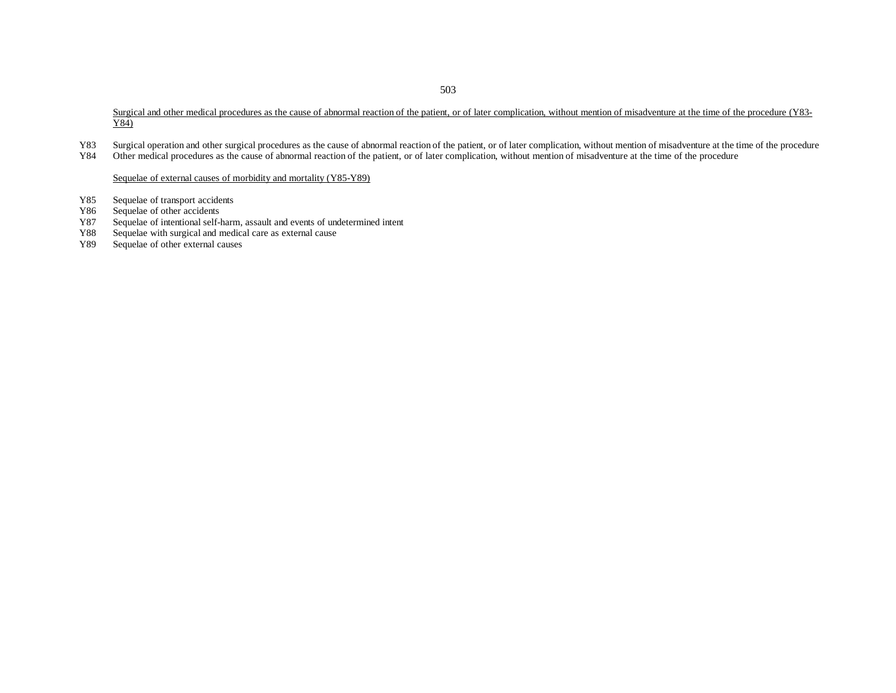Surgical and other medical procedures as the cause of abnormal reaction of the patient, or of later complication, without mention of misadventure at the time of the procedure (Y83-Y84)

- Y83Surgical operation and other surgical procedures as the cause of abnormal reaction of the patient, or of later complication, without mention of misadventure at the time of the procedure
- Y84Other medical procedures as the cause of abnormal reaction of the patient, or of later complication, without mention of misadventure at the time of the procedure

Sequelae of external causes of morbidity and mortality (Y85-Y89)

- Y85Sequelae of transport accidents
- Y86Sequelae of other accidents
- Y87Sequelae of intentional self-harm, assault and events of undetermined intent
- Y88Sequelae with surgical and medical care as external cause
- Y89Sequelae of other external causes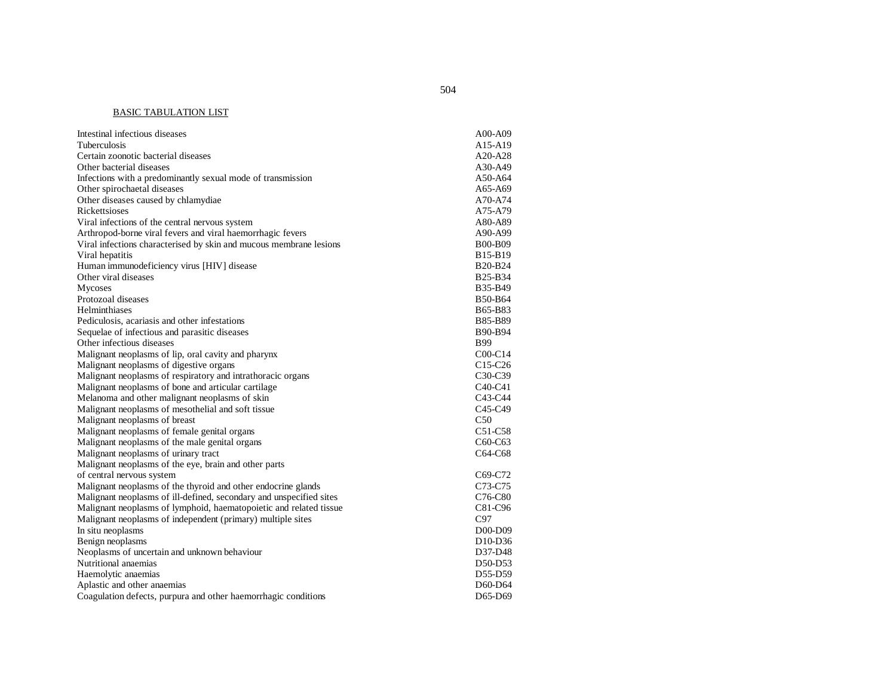#### BASIC TABULATION LIST

| Intestinal infectious diseases                                      | A00-A09                          |
|---------------------------------------------------------------------|----------------------------------|
| <b>Tuberculosis</b>                                                 | A15-A19                          |
| Certain zoonotic bacterial diseases                                 | $A20-A28$                        |
| Other bacterial diseases                                            | A30-A49                          |
| Infections with a predominantly sexual mode of transmission         | A50-A64                          |
| Other spirochaetal diseases                                         | A65-A69                          |
| Other diseases caused by chlamydiae                                 | A70-A74                          |
| Rickettsioses                                                       | A75-A79                          |
| Viral infections of the central nervous system                      | A80-A89                          |
| Arthropod-borne viral fevers and viral haemorrhagic fevers          | A90-A99                          |
| Viral infections characterised by skin and mucous membrane lesions  | <b>B00-B09</b>                   |
| Viral hepatitis                                                     | B <sub>15</sub> -B <sub>19</sub> |
| Human immunodeficiency virus [HIV] disease                          | <b>B20-B24</b>                   |
| Other viral diseases                                                | B25-B34                          |
| Mycoses                                                             | B35-B49                          |
| Protozoal diseases                                                  | B50-B64                          |
| Helminthiases                                                       | B65-B83                          |
| Pediculosis, acariasis and other infestations                       | B85-B89                          |
| Sequelae of infectious and parasitic diseases                       | B90-B94                          |
| Other infectious diseases                                           | <b>B</b> 99                      |
| Malignant neoplasms of lip, oral cavity and pharynx                 | $COO-C14$                        |
| Malignant neoplasms of digestive organs                             | $C15-C26$                        |
| Malignant neoplasms of respiratory and intrathoracic organs         | C <sub>3</sub> 0-C <sub>39</sub> |
| Malignant neoplasms of bone and articular cartilage                 | $C40-C41$                        |
| Melanoma and other malignant neoplasms of skin                      | C <sub>43</sub> -C <sub>44</sub> |
| Malignant neoplasms of mesothelial and soft tissue                  | C <sub>45</sub> -C <sub>49</sub> |
| Malignant neoplasms of breast                                       | C50                              |
| Malignant neoplasms of female genital organs                        | C51-C58                          |
| Malignant neoplasms of the male genital organs                      | C <sub>60</sub> -C <sub>63</sub> |
| Malignant neoplasms of urinary tract                                | C64-C68                          |
| Malignant neoplasms of the eye, brain and other parts               |                                  |
| of central nervous system                                           | C69-C72                          |
| Malignant neoplasms of the thyroid and other endocrine glands       | C <sub>73</sub> -C <sub>75</sub> |
| Malignant neoplasms of ill-defined, secondary and unspecified sites | C76-C80                          |
| Malignant neoplasms of lymphoid, haematopoietic and related tissue  | C81-C96                          |
| Malignant neoplasms of independent (primary) multiple sites         | C97                              |
| In situ neoplasms                                                   | D <sub>0</sub> 0-D <sub>09</sub> |
| Benign neoplasms                                                    | D <sub>10</sub> -D <sub>36</sub> |
| Neoplasms of uncertain and unknown behaviour                        | D37-D48                          |
| Nutritional anaemias                                                | D50-D53                          |
| Haemolytic anaemias                                                 | D55-D59                          |
| Aplastic and other anaemias                                         | D60-D64                          |
| Coagulation defects, purpura and other haemorrhagic conditions      | D65-D69                          |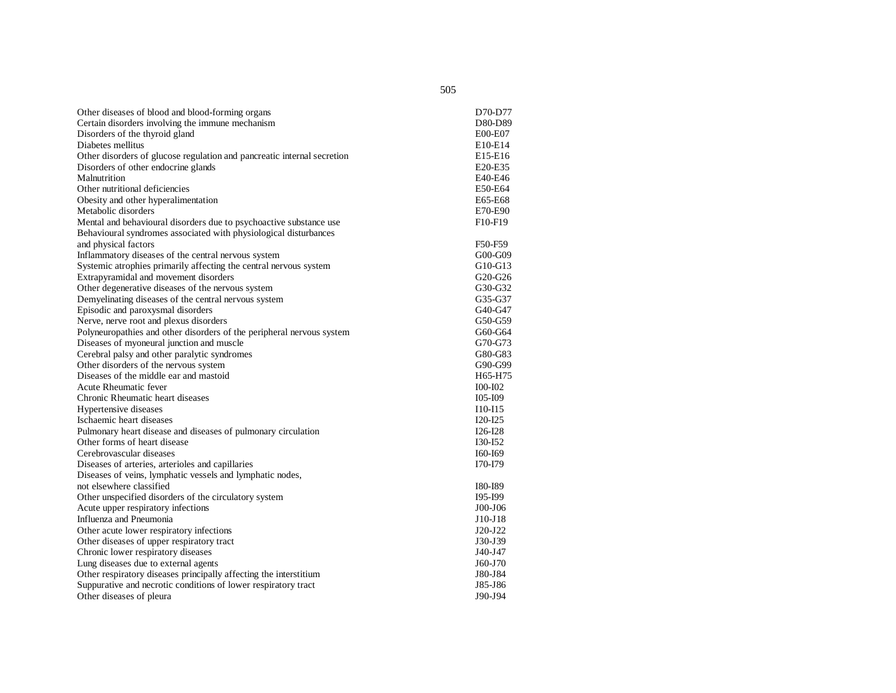| Other diseases of blood and blood-forming organs                        | D70-D77                          |
|-------------------------------------------------------------------------|----------------------------------|
| Certain disorders involving the immune mechanism                        | D80-D89                          |
| Disorders of the thyroid gland                                          | E00-E07                          |
| Diabetes mellitus                                                       | E10-E14                          |
| Other disorders of glucose regulation and pancreatic internal secretion | E15-E16                          |
| Disorders of other endocrine glands                                     | E20-E35                          |
| Malnutrition                                                            | E40-E46                          |
| Other nutritional deficiencies                                          | E50-E64                          |
| Obesity and other hyperalimentation                                     | E65-E68                          |
| Metabolic disorders                                                     | E70-E90                          |
| Mental and behavioural disorders due to psychoactive substance use      | F <sub>10</sub> -F <sub>19</sub> |
| Behavioural syndromes associated with physiological disturbances        |                                  |
| and physical factors                                                    | F50-F59                          |
| Inflammatory diseases of the central nervous system                     | $G00-G09$                        |
| Systemic atrophies primarily affecting the central nervous system       | G10-G13                          |
| Extrapyramidal and movement disorders                                   | $G20-G26$                        |
| Other degenerative diseases of the nervous system                       | G30-G32                          |
| Demyelinating diseases of the central nervous system                    | G35-G37                          |
| Episodic and paroxysmal disorders                                       | $G40-G47$                        |
| Nerve, nerve root and plexus disorders                                  | G50-G59                          |
| Polyneuropathies and other disorders of the peripheral nervous system   | G60-G64                          |
| Diseases of myoneural junction and muscle                               | G70-G73                          |
| Cerebral palsy and other paralytic syndromes                            | G80-G83                          |
| Other disorders of the nervous system                                   | G90-G99                          |
| Diseases of the middle ear and mastoid                                  | H65-H75                          |
| Acute Rheumatic fever                                                   | <b>I00-I02</b>                   |
| Chronic Rheumatic heart diseases                                        | 105-109                          |
| Hypertensive diseases                                                   | $I10-115$                        |
| Ischaemic heart diseases                                                | $I20-I25$                        |
| Pulmonary heart disease and diseases of pulmonary circulation           | $I26-I28$                        |
| Other forms of heart disease                                            | I30-I52                          |
| Cerebrovascular diseases                                                | I60-I69                          |
| Diseases of arteries, arterioles and capillaries                        | I70-I79                          |
| Diseases of veins, lymphatic vessels and lymphatic nodes,               |                                  |
| not elsewhere classified                                                | I80-I89                          |
| Other unspecified disorders of the circulatory system                   | I95-I99                          |
| Acute upper respiratory infections                                      | $J00-J06$                        |
| Influenza and Pneumonia                                                 | J10-J18                          |
| Other acute lower respiratory infections                                | $J20-J22$                        |
| Other diseases of upper respiratory tract                               | J30-J39                          |
| Chronic lower respiratory diseases                                      | J40-J47                          |
| Lung diseases due to external agents                                    | J60-J70                          |
| Other respiratory diseases principally affecting the interstitium       | J80-J84                          |
| Suppurative and necrotic conditions of lower respiratory tract          | J85-J86                          |
| Other diseases of pleura                                                | J90-J94                          |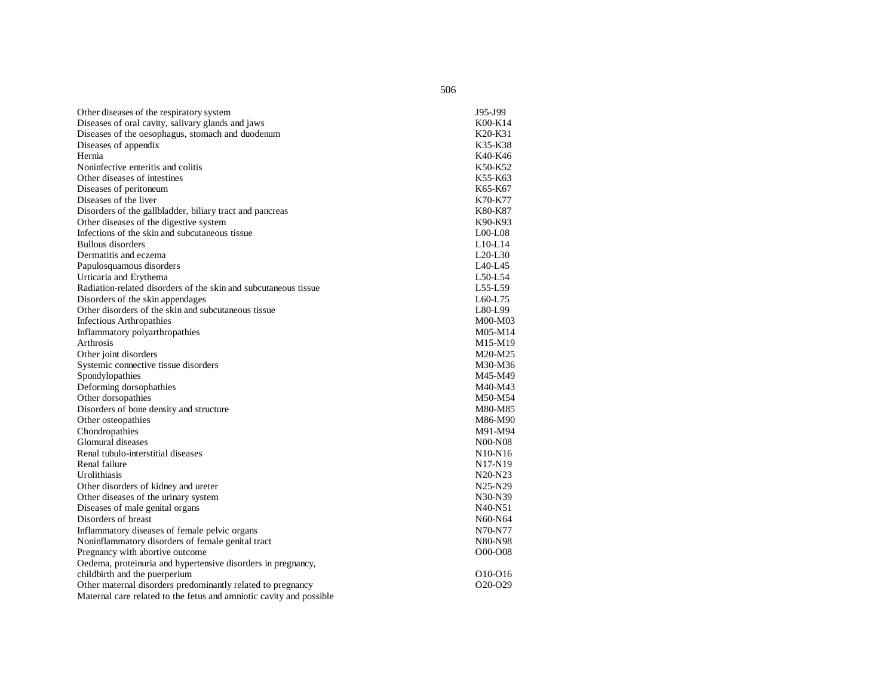| Other diseases of the respiratory system                            | J95-J99                          |
|---------------------------------------------------------------------|----------------------------------|
| Diseases of oral cavity, salivary glands and jaws                   | K00-K14                          |
| Diseases of the oesophagus, stomach and duodenum                    | K20-K31                          |
| Diseases of appendix                                                | K35-K38                          |
| Hernia                                                              | K40-K46                          |
| Noninfective enteritis and colitis                                  | K50-K52                          |
| Other diseases of intestines                                        | K55-K63                          |
| Diseases of peritoneum                                              | K65-K67                          |
| Diseases of the liver                                               | K70-K77                          |
| Disorders of the gallbladder, biliary tract and pancreas            | K80-K87                          |
| Other diseases of the digestive system                              | K90-K93                          |
| Infections of the skin and subcutaneous tissue                      | $LOO$ - $LO8$                    |
| <b>Bullous disorders</b>                                            | $L10-L14$                        |
| Dermatitis and eczema                                               | $L20-L30$                        |
| Papulosquamous disorders                                            | L40-L45                          |
| Urticaria and Erythema                                              | $L50-L54$                        |
| Radiation-related disorders of the skin and subcutaneous tissue     | L55-L59                          |
| Disorders of the skin appendages                                    | $L60-L75$                        |
| Other disorders of the skin and subcutaneous tissue                 | L80-L99                          |
| <b>Infectious Arthropathies</b>                                     | M00-M03                          |
| Inflammatory polyarthropathies                                      | M05-M14                          |
| Arthrosis                                                           | M15-M19                          |
| Other joint disorders                                               | M20-M25                          |
| Systemic connective tissue disorders                                | M30-M36                          |
| Spondylopathies                                                     | M45-M49                          |
| Deforming dorsophathies                                             | M40-M43                          |
| Other dorsopathies                                                  | M50-M54                          |
| Disorders of bone density and structure                             | M80-M85                          |
| Other osteopathies                                                  | M86-M90                          |
| Chondropathies                                                      | M91-M94                          |
| Glomural diseases                                                   | N00-N08                          |
| Renal tubulo-interstitial diseases                                  | N <sub>10</sub> -N <sub>16</sub> |
| Renal failure                                                       | N <sub>17</sub> -N <sub>19</sub> |
| Urolithiasis                                                        | N20-N23                          |
| Other disorders of kidney and ureter                                | N25-N29                          |
| Other diseases of the urinary system                                | N30-N39                          |
| Diseases of male genital organs                                     | N40-N51                          |
| Disorders of breast                                                 | N60-N64                          |
| Inflammatory diseases of female pelvic organs                       | N70-N77                          |
| Noninflammatory disorders of female genital tract                   | N80-N98                          |
| Pregnancy with abortive outcome                                     | O00-O08                          |
| Oedema, proteinuria and hypertensive disorders in pregnancy,        |                                  |
| childbirth and the puerperium                                       | O <sub>10</sub> -O <sub>16</sub> |
| Other maternal disorders predominantly related to pregnancy         | O <sub>20</sub> -O <sub>29</sub> |
| Maternal care related to the fetus and amniotic cavity and possible |                                  |
|                                                                     |                                  |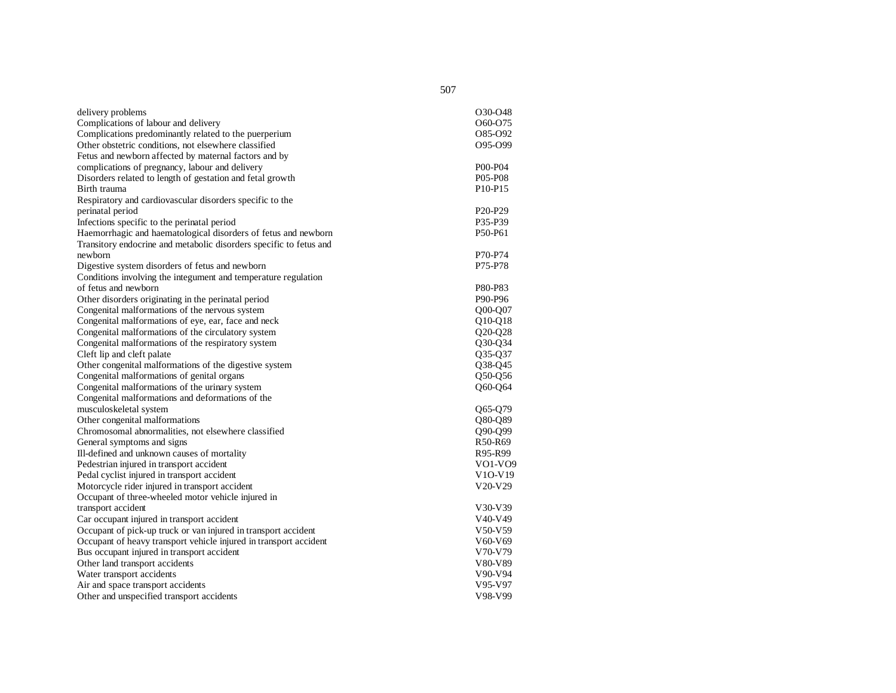| delivery problems                                                  | O30-O48                          |
|--------------------------------------------------------------------|----------------------------------|
| Complications of labour and delivery                               | 060-075                          |
| Complications predominantly related to the puerperium              | 085-092                          |
| Other obstetric conditions, not elsewhere classified               | 095-099                          |
| Fetus and newborn affected by maternal factors and by              |                                  |
| complications of pregnancy, labour and delivery                    | P00-P04                          |
| Disorders related to length of gestation and fetal growth          | P05-P08                          |
| Birth trauma                                                       | P <sub>10</sub> -P <sub>15</sub> |
| Respiratory and cardiovascular disorders specific to the           |                                  |
| perinatal period                                                   | P <sub>20</sub> -P <sub>29</sub> |
| Infections specific to the perinatal period                        | P35-P39                          |
| Haemorrhagic and haematological disorders of fetus and newborn     | P50-P61                          |
| Transitory endocrine and metabolic disorders specific to fetus and |                                  |
| newborn                                                            | P70-P74                          |
| Digestive system disorders of fetus and newborn                    | P75-P78                          |
| Conditions involving the integument and temperature regulation     |                                  |
| of fetus and newborn                                               | P80-P83                          |
| Other disorders originating in the perinatal period                | P90-P96                          |
| Congenital malformations of the nervous system                     | Q00-Q07                          |
| Congenital malformations of eye, ear, face and neck                | Q10-Q18                          |
| Congenital malformations of the circulatory system                 | $Q20-Q28$                        |
| Congenital malformations of the respiratory system                 | O30-O34                          |
| Cleft lip and cleft palate                                         | Q35-Q37                          |
| Other congenital malformations of the digestive system             | Q38-Q45                          |
| Congenital malformations of genital organs                         | Q50-Q56                          |
| Congenital malformations of the urinary system                     | O60-O64                          |
| Congenital malformations and deformations of the                   |                                  |
| musculoskeletal system                                             | Q65-Q79                          |
| Other congenital malformations                                     | Q80-Q89                          |
| Chromosomal abnormalities, not elsewhere classified                | Q90-Q99                          |
| General symptoms and signs                                         | R50-R69                          |
| Ill-defined and unknown causes of mortality                        | R95-R99                          |
| Pedestrian injured in transport accident                           | VO1-VO9                          |
| Pedal cyclist injured in transport accident                        | V10-V19                          |
| Motorcycle rider injured in transport accident                     | V20-V29                          |
| Occupant of three-wheeled motor vehicle injured in                 |                                  |
| transport accident                                                 | V30-V39                          |
| Car occupant injured in transport accident                         | V40-V49                          |
| Occupant of pick-up truck or van injured in transport accident     | V50-V59                          |
| Occupant of heavy transport vehicle injured in transport accident  | V60-V69                          |
| Bus occupant injured in transport accident                         | V70-V79                          |
| Other land transport accidents                                     | V80-V89                          |
| Water transport accidents                                          | V90-V94                          |
| Air and space transport accidents                                  | V95-V97                          |
| Other and unspecified transport accidents                          | V98-V99                          |
|                                                                    |                                  |

507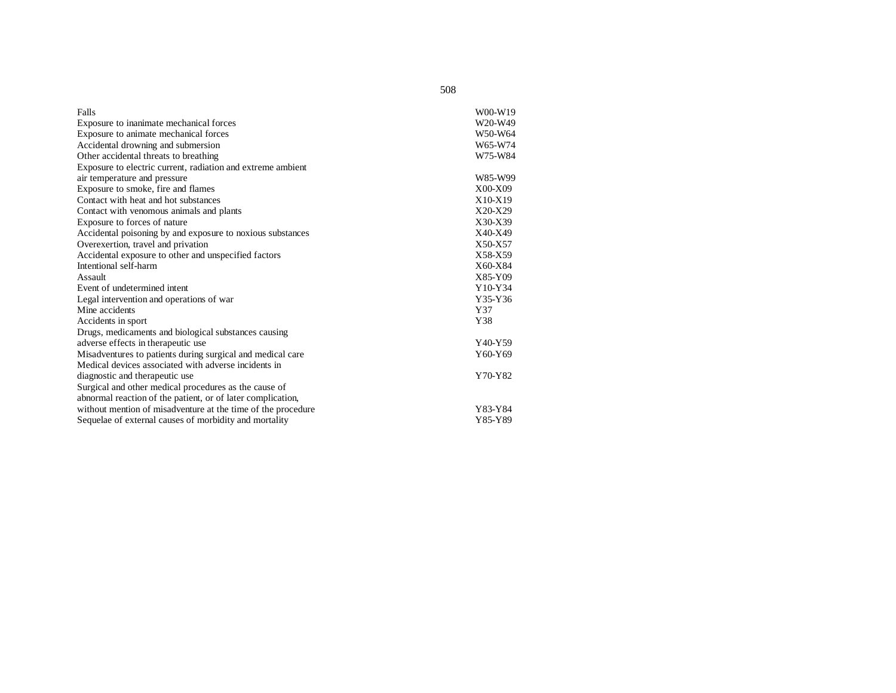| Falls                                                        | W00-W19 |
|--------------------------------------------------------------|---------|
| Exposure to inanimate mechanical forces                      | W20-W49 |
| Exposure to animate mechanical forces                        | W50-W64 |
| Accidental drowning and submersion                           | W65-W74 |
| Other accidental threats to breathing                        | W75-W84 |
| Exposure to electric current, radiation and extreme ambient  |         |
| air temperature and pressure                                 | W85-W99 |
| Exposure to smoke, fire and flames                           | X00-X09 |
| Contact with heat and hot substances                         | X10-X19 |
| Contact with venomous animals and plants                     | X20-X29 |
| Exposure to forces of nature                                 | X30-X39 |
| Accidental poisoning by and exposure to noxious substances   | X40-X49 |
| Overexertion, travel and privation                           | X50-X57 |
| Accidental exposure to other and unspecified factors         | X58-X59 |
| Intentional self-harm                                        | X60-X84 |
| Assault                                                      | X85-Y09 |
| Event of undetermined intent                                 | Y10-Y34 |
| Legal intervention and operations of war                     | Y35-Y36 |
| Mine accidents                                               | Y37     |
| Accidents in sport                                           | Y38     |
| Drugs, medicaments and biological substances causing         |         |
| adverse effects in therapeutic use                           | Y40-Y59 |
| Misadventures to patients during surgical and medical care   | Y60-Y69 |
| Medical devices associated with adverse incidents in         |         |
| diagnostic and therapeutic use                               | Y70-Y82 |
| Surgical and other medical procedures as the cause of        |         |
| abnormal reaction of the patient, or of later complication,  |         |
| without mention of misadventure at the time of the procedure | Y83-Y84 |
| Sequelae of external causes of morbidity and mortality       | Y85-Y89 |

508